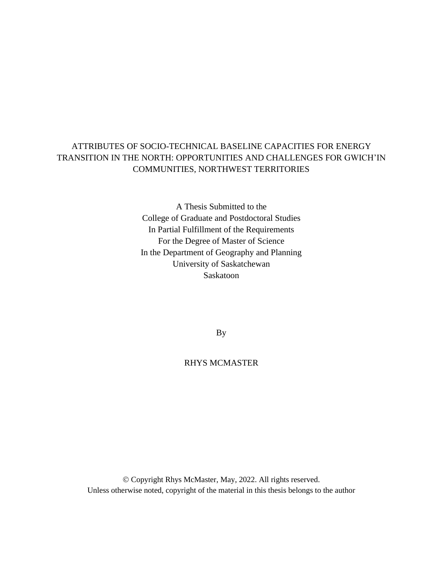# ATTRIBUTES OF SOCIO-TECHNICAL BASELINE CAPACITIES FOR ENERGY TRANSITION IN THE NORTH: OPPORTUNITIES AND CHALLENGES FOR GWICH'IN COMMUNITIES, NORTHWEST TERRITORIES

A Thesis Submitted to the College of Graduate and Postdoctoral Studies In Partial Fulfillment of the Requirements For the Degree of Master of Science In the Department of Geography and Planning University of Saskatchewan Saskatoon

By

# RHYS MCMASTER

© Copyright Rhys McMaster, May, 2022. All rights reserved. Unless otherwise noted, copyright of the material in this thesis belongs to the author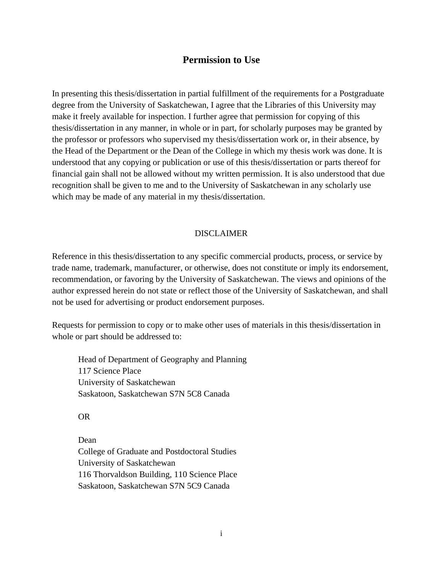# **Permission to Use**

In presenting this thesis/dissertation in partial fulfillment of the requirements for a Postgraduate degree from the University of Saskatchewan, I agree that the Libraries of this University may make it freely available for inspection. I further agree that permission for copying of this thesis/dissertation in any manner, in whole or in part, for scholarly purposes may be granted by the professor or professors who supervised my thesis/dissertation work or, in their absence, by the Head of the Department or the Dean of the College in which my thesis work was done. It is understood that any copying or publication or use of this thesis/dissertation or parts thereof for financial gain shall not be allowed without my written permission. It is also understood that due recognition shall be given to me and to the University of Saskatchewan in any scholarly use which may be made of any material in my thesis/dissertation.

## DISCLAIMER

Reference in this thesis/dissertation to any specific commercial products, process, or service by trade name, trademark, manufacturer, or otherwise, does not constitute or imply its endorsement, recommendation, or favoring by the University of Saskatchewan. The views and opinions of the author expressed herein do not state or reflect those of the University of Saskatchewan, and shall not be used for advertising or product endorsement purposes.

Requests for permission to copy or to make other uses of materials in this thesis/dissertation in whole or part should be addressed to:

Head of Department of Geography and Planning 117 Science Place University of Saskatchewan Saskatoon, Saskatchewan S7N 5C8 Canada

OR

Dean College of Graduate and Postdoctoral Studies University of Saskatchewan 116 Thorvaldson Building, 110 Science Place Saskatoon, Saskatchewan S7N 5C9 Canada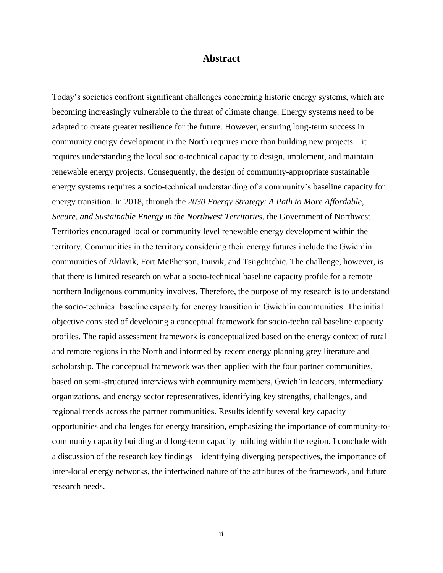## **Abstract**

Today's societies confront significant challenges concerning historic energy systems, which are becoming increasingly vulnerable to the threat of climate change. Energy systems need to be adapted to create greater resilience for the future. However, ensuring long-term success in community energy development in the North requires more than building new projects – it requires understanding the local socio-technical capacity to design, implement, and maintain renewable energy projects. Consequently, the design of community-appropriate sustainable energy systems requires a socio-technical understanding of a community's baseline capacity for energy transition. In 2018, through the *2030 Energy Strategy: A Path to More Affordable, Secure, and Sustainable Energy in the Northwest Territories*, the Government of Northwest Territories encouraged local or community level renewable energy development within the territory. Communities in the territory considering their energy futures include the Gwich'in communities of Aklavik, Fort McPherson, Inuvik, and Tsiigehtchic. The challenge, however, is that there is limited research on what a socio-technical baseline capacity profile for a remote northern Indigenous community involves. Therefore, the purpose of my research is to understand the socio-technical baseline capacity for energy transition in Gwich'in communities. The initial objective consisted of developing a conceptual framework for socio-technical baseline capacity profiles. The rapid assessment framework is conceptualized based on the energy context of rural and remote regions in the North and informed by recent energy planning grey literature and scholarship. The conceptual framework was then applied with the four partner communities, based on semi-structured interviews with community members, Gwich'in leaders, intermediary organizations, and energy sector representatives, identifying key strengths, challenges, and regional trends across the partner communities. Results identify several key capacity opportunities and challenges for energy transition, emphasizing the importance of community-tocommunity capacity building and long-term capacity building within the region. I conclude with a discussion of the research key findings – identifying diverging perspectives, the importance of inter-local energy networks, the intertwined nature of the attributes of the framework, and future research needs.

ii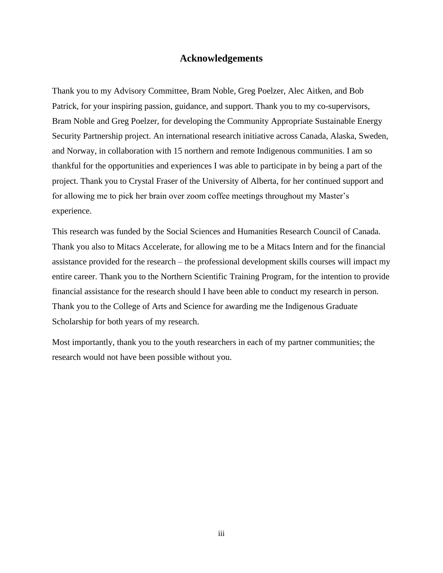## **Acknowledgements**

Thank you to my Advisory Committee, Bram Noble, Greg Poelzer, Alec Aitken, and Bob Patrick, for your inspiring passion, guidance, and support. Thank you to my co-supervisors, Bram Noble and Greg Poelzer, for developing the Community Appropriate Sustainable Energy Security Partnership project. An international research initiative across Canada, Alaska, Sweden, and Norway, in collaboration with 15 northern and remote Indigenous communities. I am so thankful for the opportunities and experiences I was able to participate in by being a part of the project. Thank you to Crystal Fraser of the University of Alberta, for her continued support and for allowing me to pick her brain over zoom coffee meetings throughout my Master's experience.

This research was funded by the Social Sciences and Humanities Research Council of Canada. Thank you also to Mitacs Accelerate, for allowing me to be a Mitacs Intern and for the financial assistance provided for the research – the professional development skills courses will impact my entire career. Thank you to the Northern Scientific Training Program, for the intention to provide financial assistance for the research should I have been able to conduct my research in person. Thank you to the College of Arts and Science for awarding me the Indigenous Graduate Scholarship for both years of my research.

Most importantly, thank you to the youth researchers in each of my partner communities; the research would not have been possible without you.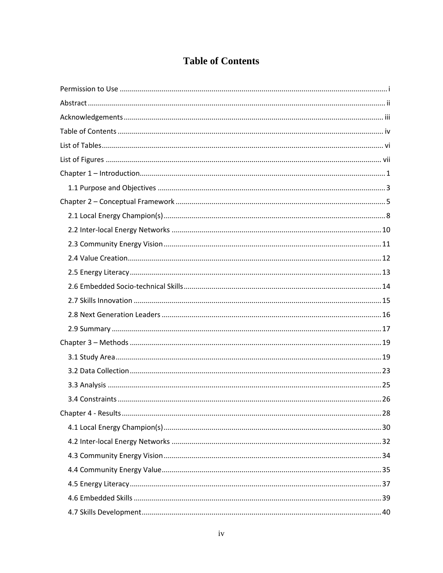# **Table of Contents**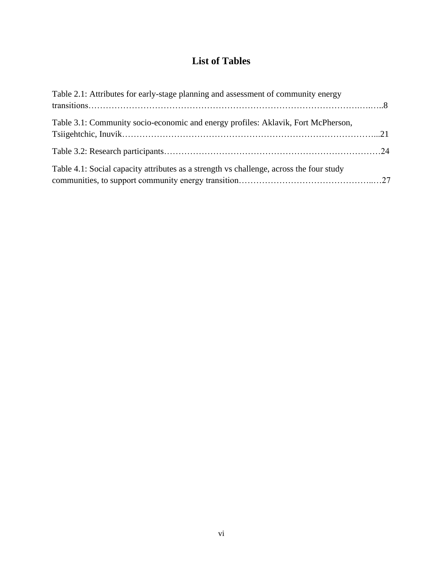# **List of Tables**

| Table 2.1: Attributes for early-stage planning and assessment of community energy       |  |
|-----------------------------------------------------------------------------------------|--|
| Table 3.1: Community socio-economic and energy profiles: Aklavik, Fort McPherson,       |  |
|                                                                                         |  |
| Table 4.1: Social capacity attributes as a strength vs challenge, across the four study |  |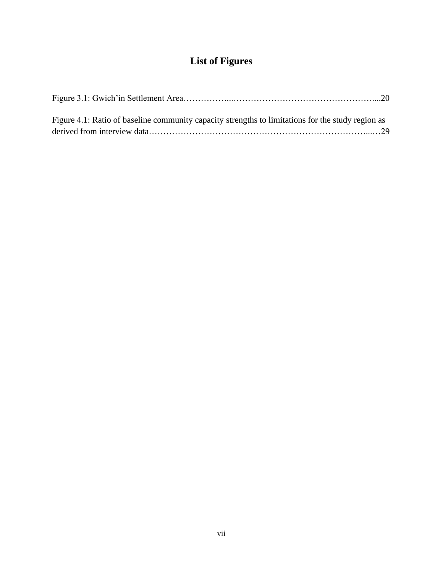# **List of Figures**

| Figure 4.1: Ratio of baseline community capacity strengths to limitations for the study region as |  |
|---------------------------------------------------------------------------------------------------|--|
|                                                                                                   |  |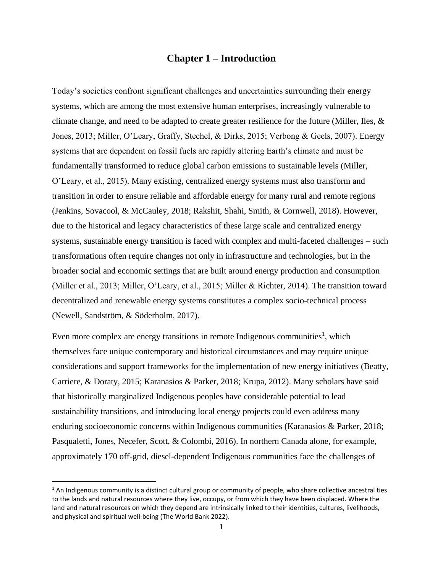## **Chapter 1 – Introduction**

Today's societies confront significant challenges and uncertainties surrounding their energy systems, which are among the most extensive human enterprises, increasingly vulnerable to climate change, and need to be adapted to create greater resilience for the future (Miller, Iles, & Jones, 2013; Miller, O'Leary, Graffy, Stechel, & Dirks, 2015; Verbong & Geels, 2007). Energy systems that are dependent on fossil fuels are rapidly altering Earth's climate and must be fundamentally transformed to reduce global carbon emissions to sustainable levels (Miller, O'Leary, et al., 2015). Many existing, centralized energy systems must also transform and transition in order to ensure reliable and affordable energy for many rural and remote regions (Jenkins, Sovacool, & McCauley, 2018; Rakshit, Shahi, Smith, & Cornwell, 2018). However, due to the historical and legacy characteristics of these large scale and centralized energy systems, sustainable energy transition is faced with complex and multi-faceted challenges – such transformations often require changes not only in infrastructure and technologies, but in the broader social and economic settings that are built around energy production and consumption (Miller et al., 2013; Miller, O'Leary, et al., 2015; Miller & Richter, 2014). The transition toward decentralized and renewable energy systems constitutes a complex socio-technical process (Newell, Sandström, & Söderholm, 2017).

Even more complex are energy transitions in remote Indigenous communities<sup>1</sup>, which themselves face unique contemporary and historical circumstances and may require unique considerations and support frameworks for the implementation of new energy initiatives (Beatty, Carriere, & Doraty, 2015; Karanasios & Parker, 2018; Krupa, 2012). Many scholars have said that historically marginalized Indigenous peoples have considerable potential to lead sustainability transitions, and introducing local energy projects could even address many enduring socioeconomic concerns within Indigenous communities (Karanasios & Parker, 2018; Pasqualetti, Jones, Necefer, Scott, & Colombi, 2016). In northern Canada alone, for example, approximately 170 off-grid, diesel-dependent Indigenous communities face the challenges of

 $1$  An Indigenous community is a distinct cultural group or community of people, who share collective ancestral ties to the lands and natural resources where they live, occupy, or from which they have been displaced. Where the land and natural resources on which they depend are intrinsically linked to their identities, cultures, livelihoods, and physical and spiritual well-being (The World Bank 2022).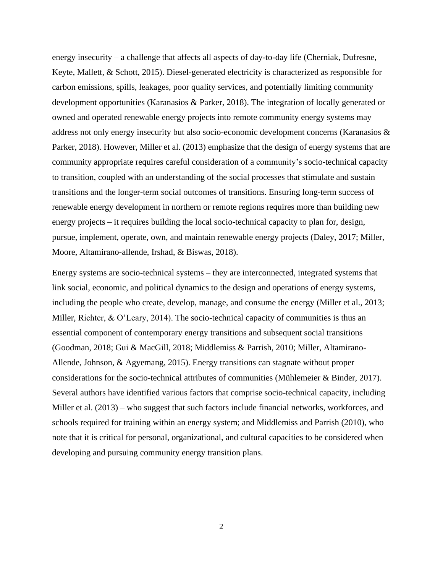energy insecurity – a challenge that affects all aspects of day-to-day life (Cherniak, Dufresne, Keyte, Mallett, & Schott, 2015). Diesel-generated electricity is characterized as responsible for carbon emissions, spills, leakages, poor quality services, and potentially limiting community development opportunities (Karanasios & Parker, 2018). The integration of locally generated or owned and operated renewable energy projects into remote community energy systems may address not only energy insecurity but also socio-economic development concerns (Karanasios & Parker, 2018). However, Miller et al. (2013) emphasize that the design of energy systems that are community appropriate requires careful consideration of a community's socio-technical capacity to transition, coupled with an understanding of the social processes that stimulate and sustain transitions and the longer-term social outcomes of transitions. Ensuring long-term success of renewable energy development in northern or remote regions requires more than building new energy projects – it requires building the local socio-technical capacity to plan for, design, pursue, implement, operate, own, and maintain renewable energy projects (Daley, 2017; Miller, Moore, Altamirano-allende, Irshad, & Biswas, 2018).

Energy systems are socio-technical systems – they are interconnected, integrated systems that link social, economic, and political dynamics to the design and operations of energy systems, including the people who create, develop, manage, and consume the energy (Miller et al., 2013; Miller, Richter, & O'Leary, 2014). The socio-technical capacity of communities is thus an essential component of contemporary energy transitions and subsequent social transitions (Goodman, 2018; Gui & MacGill, 2018; Middlemiss & Parrish, 2010; Miller, Altamirano-Allende, Johnson, & Agyemang, 2015). Energy transitions can stagnate without proper considerations for the socio-technical attributes of communities (Mühlemeier & Binder, 2017). Several authors have identified various factors that comprise socio-technical capacity, including Miller et al. (2013) – who suggest that such factors include financial networks, workforces, and schools required for training within an energy system; and Middlemiss and Parrish (2010), who note that it is critical for personal, organizational, and cultural capacities to be considered when developing and pursuing community energy transition plans.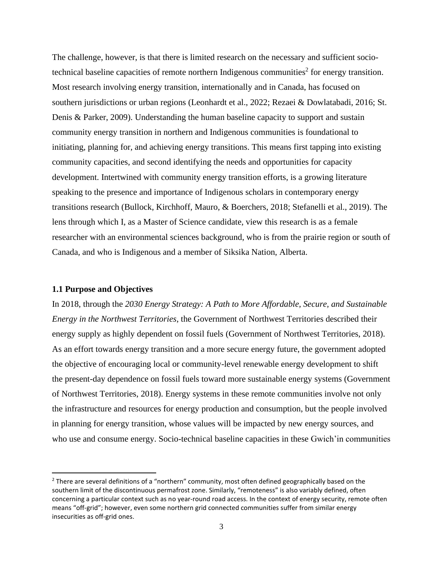The challenge, however, is that there is limited research on the necessary and sufficient sociotechnical baseline capacities of remote northern Indigenous communities<sup>2</sup> for energy transition. Most research involving energy transition, internationally and in Canada, has focused on southern jurisdictions or urban regions (Leonhardt et al., 2022; Rezaei & Dowlatabadi, 2016; St. Denis & Parker, 2009). Understanding the human baseline capacity to support and sustain community energy transition in northern and Indigenous communities is foundational to initiating, planning for, and achieving energy transitions. This means first tapping into existing community capacities, and second identifying the needs and opportunities for capacity development. Intertwined with community energy transition efforts, is a growing literature speaking to the presence and importance of Indigenous scholars in contemporary energy transitions research (Bullock, Kirchhoff, Mauro, & Boerchers, 2018; Stefanelli et al., 2019). The lens through which I, as a Master of Science candidate, view this research is as a female researcher with an environmental sciences background, who is from the prairie region or south of Canada, and who is Indigenous and a member of Siksika Nation, Alberta.

#### **1.1 Purpose and Objectives**

In 2018, through the *2030 Energy Strategy: A Path to More Affordable, Secure, and Sustainable Energy in the Northwest Territories*, the Government of Northwest Territories described their energy supply as highly dependent on fossil fuels (Government of Northwest Territories, 2018). As an effort towards energy transition and a more secure energy future, the government adopted the objective of encouraging local or community-level renewable energy development to shift the present-day dependence on fossil fuels toward more sustainable energy systems (Government of Northwest Territories, 2018). Energy systems in these remote communities involve not only the infrastructure and resources for energy production and consumption, but the people involved in planning for energy transition, whose values will be impacted by new energy sources, and who use and consume energy. Socio-technical baseline capacities in these Gwich'in communities

<sup>&</sup>lt;sup>2</sup> There are several definitions of a "northern" community, most often defined geographically based on the southern limit of the discontinuous permafrost zone. Similarly, "remoteness" is also variably defined, often concerning a particular context such as no year-round road access. In the context of energy security, remote often means "off-grid"; however, even some northern grid connected communities suffer from similar energy insecurities as off-grid ones.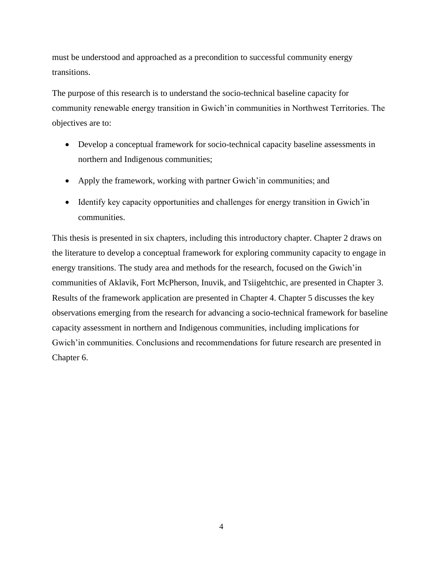must be understood and approached as a precondition to successful community energy transitions.

The purpose of this research is to understand the socio-technical baseline capacity for community renewable energy transition in Gwich'in communities in Northwest Territories. The objectives are to:

- Develop a conceptual framework for socio-technical capacity baseline assessments in northern and Indigenous communities;
- Apply the framework, working with partner Gwich'in communities; and
- Identify key capacity opportunities and challenges for energy transition in Gwich'in communities.

This thesis is presented in six chapters, including this introductory chapter. Chapter 2 draws on the literature to develop a conceptual framework for exploring community capacity to engage in energy transitions. The study area and methods for the research, focused on the Gwich'in communities of Aklavik, Fort McPherson, Inuvik, and Tsiigehtchic, are presented in Chapter 3. Results of the framework application are presented in Chapter 4. Chapter 5 discusses the key observations emerging from the research for advancing a socio-technical framework for baseline capacity assessment in northern and Indigenous communities, including implications for Gwich'in communities. Conclusions and recommendations for future research are presented in Chapter 6.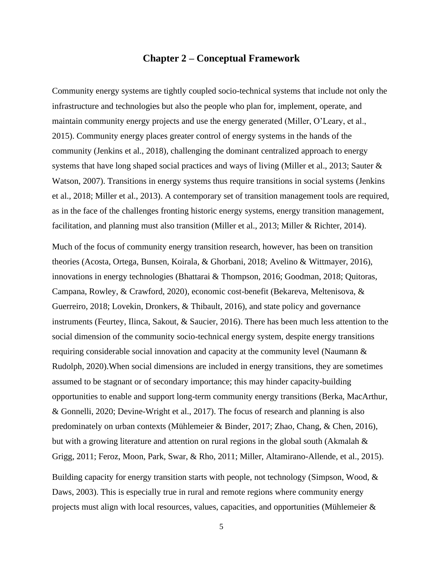## **Chapter 2 – Conceptual Framework**

Community energy systems are tightly coupled socio-technical systems that include not only the infrastructure and technologies but also the people who plan for, implement, operate, and maintain community energy projects and use the energy generated (Miller, O'Leary, et al., 2015). Community energy places greater control of energy systems in the hands of the community (Jenkins et al., 2018), challenging the dominant centralized approach to energy systems that have long shaped social practices and ways of living (Miller et al., 2013; Sauter & Watson, 2007). Transitions in energy systems thus require transitions in social systems (Jenkins et al., 2018; Miller et al., 2013). A contemporary set of transition management tools are required, as in the face of the challenges fronting historic energy systems, energy transition management, facilitation, and planning must also transition (Miller et al., 2013; Miller & Richter, 2014).

Much of the focus of community energy transition research, however, has been on transition theories (Acosta, Ortega, Bunsen, Koirala, & Ghorbani, 2018; Avelino & Wittmayer, 2016), innovations in energy technologies (Bhattarai & Thompson, 2016; Goodman, 2018; Quitoras, Campana, Rowley, & Crawford, 2020), economic cost-benefit (Bekareva, Meltenisova, & Guerreiro, 2018; Lovekin, Dronkers, & Thibault, 2016), and state policy and governance instruments (Feurtey, Ilinca, Sakout, & Saucier, 2016). There has been much less attention to the social dimension of the community socio-technical energy system, despite energy transitions requiring considerable social innovation and capacity at the community level (Naumann & Rudolph, 2020).When social dimensions are included in energy transitions, they are sometimes assumed to be stagnant or of secondary importance; this may hinder capacity-building opportunities to enable and support long-term community energy transitions (Berka, MacArthur, & Gonnelli, 2020; Devine-Wright et al., 2017). The focus of research and planning is also predominately on urban contexts (Mühlemeier & Binder, 2017; Zhao, Chang, & Chen, 2016), but with a growing literature and attention on rural regions in the global south (Akmalah & Grigg, 2011; Feroz, Moon, Park, Swar, & Rho, 2011; Miller, Altamirano-Allende, et al., 2015).

Building capacity for energy transition starts with people, not technology (Simpson, Wood, & Daws, 2003). This is especially true in rural and remote regions where community energy projects must align with local resources, values, capacities, and opportunities (Mühlemeier  $\&$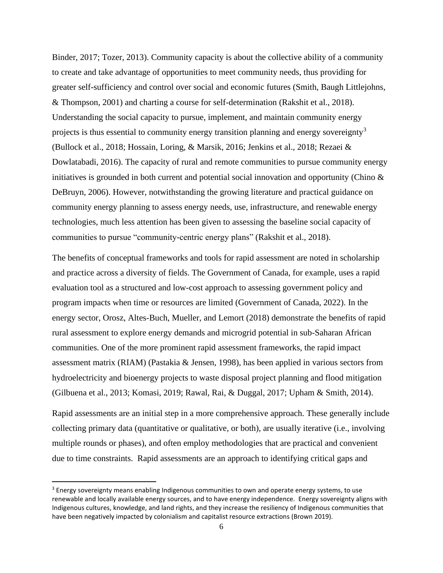Binder, 2017; Tozer, 2013). Community capacity is about the collective ability of a community to create and take advantage of opportunities to meet community needs, thus providing for greater self-sufficiency and control over social and economic futures (Smith, Baugh Littlejohns, & Thompson, 2001) and charting a course for self-determination (Rakshit et al., 2018). Understanding the social capacity to pursue, implement, and maintain community energy projects is thus essential to community energy transition planning and energy sovereignty<sup>3</sup> (Bullock et al., 2018; Hossain, Loring, & Marsik, 2016; Jenkins et al., 2018; Rezaei & Dowlatabadi, 2016). The capacity of rural and remote communities to pursue community energy initiatives is grounded in both current and potential social innovation and opportunity (Chino  $\&$ DeBruyn, 2006). However, notwithstanding the growing literature and practical guidance on community energy planning to assess energy needs, use, infrastructure, and renewable energy technologies, much less attention has been given to assessing the baseline social capacity of communities to pursue "community-centric energy plans" (Rakshit et al., 2018).

The benefits of conceptual frameworks and tools for rapid assessment are noted in scholarship and practice across a diversity of fields. The Government of Canada, for example, uses a rapid evaluation tool as a structured and low-cost approach to assessing government policy and program impacts when time or resources are limited (Government of Canada, 2022). In the energy sector, Orosz, Altes-Buch, Mueller, and Lemort (2018) demonstrate the benefits of rapid rural assessment to explore energy demands and microgrid potential in sub-Saharan African communities. One of the more prominent rapid assessment frameworks, the rapid impact assessment matrix (RIAM) (Pastakia & Jensen, 1998), has been applied in various sectors from hydroelectricity and bioenergy projects to waste disposal project planning and flood mitigation (Gilbuena et al., 2013; Komasi, 2019; Rawal, Rai, & Duggal, 2017; Upham & Smith, 2014).

Rapid assessments are an initial step in a more comprehensive approach. These generally include collecting primary data (quantitative or qualitative, or both), are usually iterative (i.e., involving multiple rounds or phases), and often employ methodologies that are practical and convenient due to time constraints. Rapid assessments are an approach to identifying critical gaps and

<sup>&</sup>lt;sup>3</sup> Energy sovereignty means enabling Indigenous communities to own and operate energy systems, to use renewable and locally available energy sources, and to have energy independence. Energy sovereignty aligns with Indigenous cultures, knowledge, and land rights, and they increase the resiliency of Indigenous communities that have been negatively impacted by colonialism and capitalist resource extractions (Brown 2019).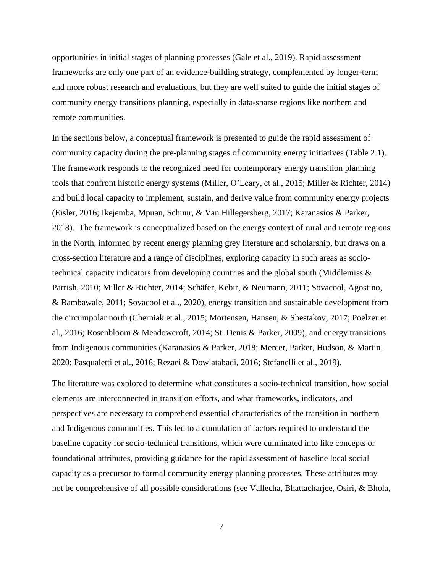opportunities in initial stages of planning processes (Gale et al., 2019). Rapid assessment frameworks are only one part of an evidence-building strategy, complemented by longer-term and more robust research and evaluations, but they are well suited to guide the initial stages of community energy transitions planning, especially in data-sparse regions like northern and remote communities.

In the sections below, a conceptual framework is presented to guide the rapid assessment of community capacity during the pre-planning stages of community energy initiatives (Table 2.1). The framework responds to the recognized need for contemporary energy transition planning tools that confront historic energy systems (Miller, O'Leary, et al., 2015; Miller & Richter, 2014) and build local capacity to implement, sustain, and derive value from community energy projects (Eisler, 2016; Ikejemba, Mpuan, Schuur, & Van Hillegersberg, 2017; Karanasios & Parker, 2018). The framework is conceptualized based on the energy context of rural and remote regions in the North, informed by recent energy planning grey literature and scholarship, but draws on a cross-section literature and a range of disciplines, exploring capacity in such areas as sociotechnical capacity indicators from developing countries and the global south (Middlemiss & Parrish, 2010; Miller & Richter, 2014; Schäfer, Kebir, & Neumann, 2011; Sovacool, Agostino, & Bambawale, 2011; Sovacool et al., 2020), energy transition and sustainable development from the circumpolar north (Cherniak et al., 2015; Mortensen, Hansen, & Shestakov, 2017; Poelzer et al., 2016; Rosenbloom & Meadowcroft, 2014; St. Denis & Parker, 2009), and energy transitions from Indigenous communities (Karanasios & Parker, 2018; Mercer, Parker, Hudson, & Martin, 2020; Pasqualetti et al., 2016; Rezaei & Dowlatabadi, 2016; Stefanelli et al., 2019).

The literature was explored to determine what constitutes a socio-technical transition, how social elements are interconnected in transition efforts, and what frameworks, indicators, and perspectives are necessary to comprehend essential characteristics of the transition in northern and Indigenous communities. This led to a cumulation of factors required to understand the baseline capacity for socio-technical transitions, which were culminated into like concepts or foundational attributes, providing guidance for the rapid assessment of baseline local social capacity as a precursor to formal community energy planning processes. These attributes may not be comprehensive of all possible considerations (see Vallecha, Bhattacharjee, Osiri, & Bhola,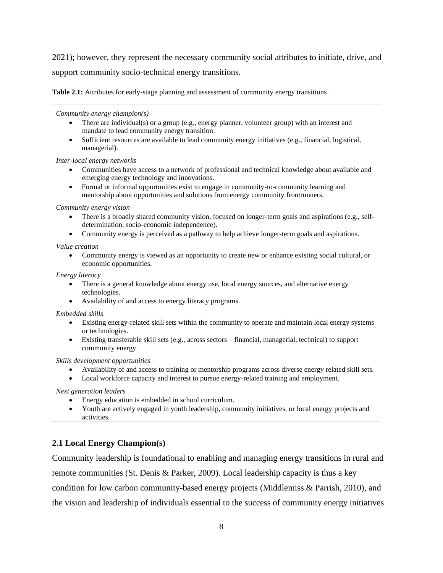2021); however, they represent the necessary community social attributes to initiate, drive, and support community socio-technical energy transitions.

**Table 2.1:** Attributes for early-stage planning and assessment of community energy transitions.

*Community energy champion(s)*

- <span id="page-15-0"></span>• There are individual(s) or a group (e.g., energy planner, volunteer group) with an interest and mandate to lead community energy transition.
- Sufficient resources are available to lead community energy initiatives (e.g., financial, logistical, managerial).

#### *Inter-local energy networks*

- Communities have access to a network of professional and technical knowledge about available and emerging energy technology and innovations.
- Formal or informal opportunities exist to engage in community-to-community learning and mentorship about opportunities and solutions from energy community frontrunners.

#### *Community energy vision*

- There is a broadly shared community vision, focused on longer-term goals and aspirations (e.g., selfdetermination, socio-economic independence).
- Community energy is perceived as a pathway to help achieve longer-term goals and aspirations.

#### *Value creation*

• Community energy is viewed as an opportunity to create new or enhance existing social cultural, or economic opportunities.

#### *Energy literacy*

- There is a general knowledge about energy use, local energy sources, and alternative energy technologies.
- Availability of and access to energy literacy programs.

#### *Embedded skills*

- Existing energy-related skill sets within the community to operate and maintain local energy systems or technologies.
- Existing transferable skill sets (e.g., across sectors financial, managerial, technical) to support community energy.

#### *Skills development opportunities*

- Availability of and access to training or mentorship programs across diverse energy related skill sets.
- Local workforce capacity and interest to pursue energy-related training and employment.

*Next generation leaders*

- Energy education is embedded in school curriculum.
- Youth are actively engaged in youth leadership, community initiatives, or local energy projects and activities.

## **2.1 Local Energy Champion(s)**

Community leadership is foundational to enabling and managing energy transitions in rural and remote communities (St. Denis & Parker, 2009). Local leadership capacity is thus a key condition for low carbon community-based energy projects (Middlemiss & Parrish, 2010), and the vision and leadership of individuals essential to the success of community energy initiatives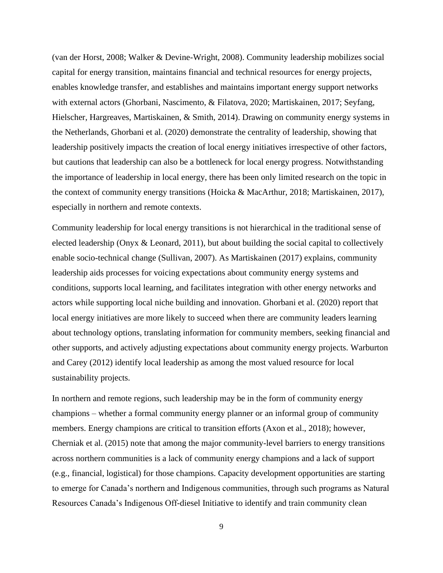(van der Horst, 2008; Walker & Devine-Wright, 2008). Community leadership mobilizes social capital for energy transition, maintains financial and technical resources for energy projects, enables knowledge transfer, and establishes and maintains important energy support networks with external actors (Ghorbani, Nascimento, & Filatova, 2020; Martiskainen, 2017; Seyfang, Hielscher, Hargreaves, Martiskainen, & Smith, 2014). Drawing on community energy systems in the Netherlands, Ghorbani et al. (2020) demonstrate the centrality of leadership, showing that leadership positively impacts the creation of local energy initiatives irrespective of other factors, but cautions that leadership can also be a bottleneck for local energy progress. Notwithstanding the importance of leadership in local energy, there has been only limited research on the topic in the context of community energy transitions (Hoicka & MacArthur, 2018; Martiskainen, 2017), especially in northern and remote contexts.

Community leadership for local energy transitions is not hierarchical in the traditional sense of elected leadership (Onyx  $\&$  Leonard, 2011), but about building the social capital to collectively enable socio-technical change (Sullivan, 2007). As Martiskainen (2017) explains, community leadership aids processes for voicing expectations about community energy systems and conditions, supports local learning, and facilitates integration with other energy networks and actors while supporting local niche building and innovation. Ghorbani et al. (2020) report that local energy initiatives are more likely to succeed when there are community leaders learning about technology options, translating information for community members, seeking financial and other supports, and actively adjusting expectations about community energy projects. Warburton and Carey (2012) identify local leadership as among the most valued resource for local sustainability projects.

In northern and remote regions, such leadership may be in the form of community energy champions – whether a formal community energy planner or an informal group of community members. Energy champions are critical to transition efforts (Axon et al., 2018); however, Cherniak et al. (2015) note that among the major community-level barriers to energy transitions across northern communities is a lack of community energy champions and a lack of support (e.g., financial, logistical) for those champions. Capacity development opportunities are starting to emerge for Canada's northern and Indigenous communities, through such programs as Natural Resources Canada's Indigenous Off-diesel Initiative to identify and train community clean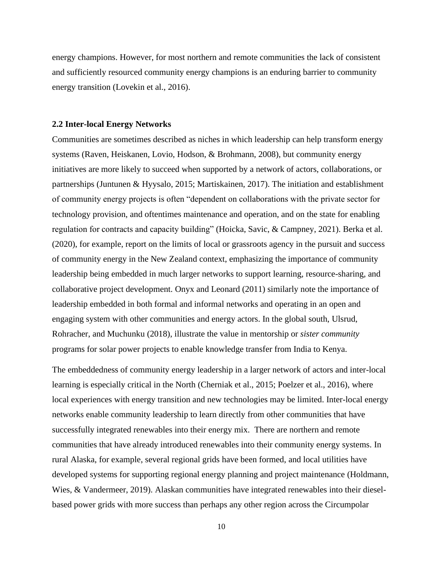energy champions. However, for most northern and remote communities the lack of consistent and sufficiently resourced community energy champions is an enduring barrier to community energy transition (Lovekin et al., 2016).

#### **2.2 Inter-local Energy Networks**

Communities are sometimes described as niches in which leadership can help transform energy systems (Raven, Heiskanen, Lovio, Hodson, & Brohmann, 2008), but community energy initiatives are more likely to succeed when supported by a network of actors, collaborations, or partnerships (Juntunen & Hyysalo, 2015; Martiskainen, 2017). The initiation and establishment of community energy projects is often "dependent on collaborations with the private sector for technology provision, and oftentimes maintenance and operation, and on the state for enabling regulation for contracts and capacity building" (Hoicka, Savic, & Campney, 2021). Berka et al. (2020), for example, report on the limits of local or grassroots agency in the pursuit and success of community energy in the New Zealand context, emphasizing the importance of community leadership being embedded in much larger networks to support learning, resource-sharing, and collaborative project development. Onyx and Leonard (2011) similarly note the importance of leadership embedded in both formal and informal networks and operating in an open and engaging system with other communities and energy actors. In the global south, Ulsrud, Rohracher, and Muchunku (2018), illustrate the value in mentorship or *sister community* programs for solar power projects to enable knowledge transfer from India to Kenya.

The embeddedness of community energy leadership in a larger network of actors and inter-local learning is especially critical in the North (Cherniak et al., 2015; Poelzer et al., 2016), where local experiences with energy transition and new technologies may be limited. Inter-local energy networks enable community leadership to learn directly from other communities that have successfully integrated renewables into their energy mix. There are northern and remote communities that have already introduced renewables into their community energy systems. In rural Alaska, for example, several regional grids have been formed, and local utilities have developed systems for supporting regional energy planning and project maintenance (Holdmann, Wies, & Vandermeer, 2019). Alaskan communities have integrated renewables into their dieselbased power grids with more success than perhaps any other region across the Circumpolar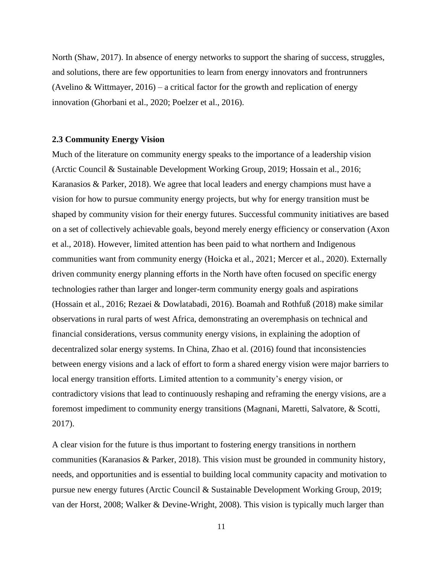North (Shaw, 2017). In absence of energy networks to support the sharing of success, struggles, and solutions, there are few opportunities to learn from energy innovators and frontrunners (Avelino & Wittmayer,  $2016$ ) – a critical factor for the growth and replication of energy innovation (Ghorbani et al., 2020; Poelzer et al., 2016).

#### **2.3 Community Energy Vision**

Much of the literature on community energy speaks to the importance of a leadership vision (Arctic Council & Sustainable Development Working Group, 2019; Hossain et al., 2016; Karanasios & Parker, 2018). We agree that local leaders and energy champions must have a vision for how to pursue community energy projects, but why for energy transition must be shaped by community vision for their energy futures. Successful community initiatives are based on a set of collectively achievable goals, beyond merely energy efficiency or conservation (Axon et al., 2018). However, limited attention has been paid to what northern and Indigenous communities want from community energy (Hoicka et al., 2021; Mercer et al., 2020). Externally driven community energy planning efforts in the North have often focused on specific energy technologies rather than larger and longer-term community energy goals and aspirations (Hossain et al., 2016; Rezaei & Dowlatabadi, 2016). Boamah and Rothfuß (2018) make similar observations in rural parts of west Africa, demonstrating an overemphasis on technical and financial considerations, versus community energy visions, in explaining the adoption of decentralized solar energy systems. In China, Zhao et al. (2016) found that inconsistencies between energy visions and a lack of effort to form a shared energy vision were major barriers to local energy transition efforts. Limited attention to a community's energy vision, or contradictory visions that lead to continuously reshaping and reframing the energy visions, are a foremost impediment to community energy transitions (Magnani, Maretti, Salvatore, & Scotti, 2017).

A clear vision for the future is thus important to fostering energy transitions in northern communities (Karanasios & Parker, 2018). This vision must be grounded in community history, needs, and opportunities and is essential to building local community capacity and motivation to pursue new energy futures (Arctic Council & Sustainable Development Working Group, 2019; van der Horst, 2008; Walker & Devine-Wright, 2008). This vision is typically much larger than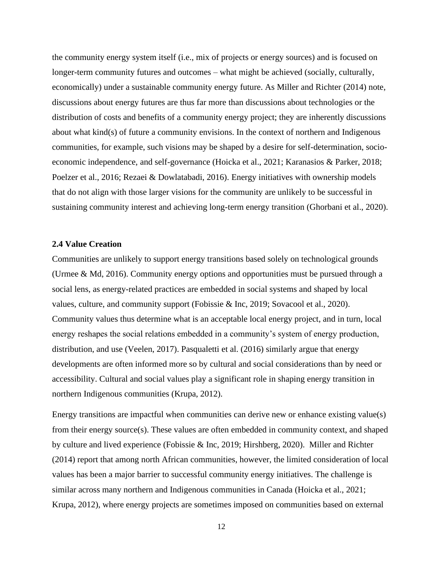the community energy system itself (i.e., mix of projects or energy sources) and is focused on longer-term community futures and outcomes – what might be achieved (socially, culturally, economically) under a sustainable community energy future. As Miller and Richter (2014) note, discussions about energy futures are thus far more than discussions about technologies or the distribution of costs and benefits of a community energy project; they are inherently discussions about what kind(s) of future a community envisions. In the context of northern and Indigenous communities, for example, such visions may be shaped by a desire for self-determination, socioeconomic independence, and self-governance (Hoicka et al., 2021; Karanasios & Parker, 2018; Poelzer et al., 2016; Rezaei & Dowlatabadi, 2016). Energy initiatives with ownership models that do not align with those larger visions for the community are unlikely to be successful in sustaining community interest and achieving long-term energy transition (Ghorbani et al., 2020).

### **2.4 Value Creation**

Communities are unlikely to support energy transitions based solely on technological grounds (Urmee & Md, 2016). Community energy options and opportunities must be pursued through a social lens, as energy-related practices are embedded in social systems and shaped by local values, culture, and community support (Fobissie & Inc, 2019; Sovacool et al., 2020). Community values thus determine what is an acceptable local energy project, and in turn, local energy reshapes the social relations embedded in a community's system of energy production, distribution, and use (Veelen, 2017). Pasqualetti et al. (2016) similarly argue that energy developments are often informed more so by cultural and social considerations than by need or accessibility. Cultural and social values play a significant role in shaping energy transition in northern Indigenous communities (Krupa, 2012).

Energy transitions are impactful when communities can derive new or enhance existing value(s) from their energy source(s). These values are often embedded in community context, and shaped by culture and lived experience (Fobissie & Inc, 2019; Hirshberg, 2020). Miller and Richter (2014) report that among north African communities, however, the limited consideration of local values has been a major barrier to successful community energy initiatives. The challenge is similar across many northern and Indigenous communities in Canada (Hoicka et al., 2021; Krupa, 2012), where energy projects are sometimes imposed on communities based on external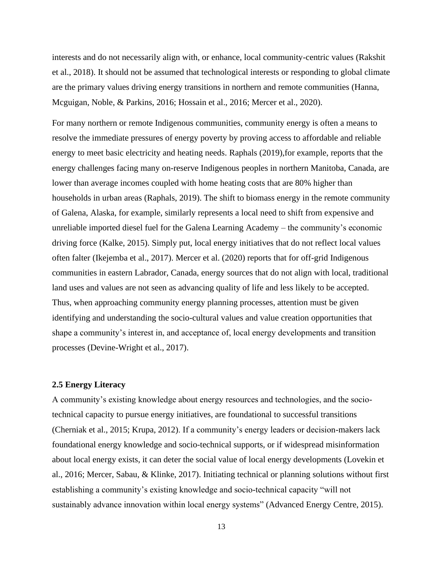interests and do not necessarily align with, or enhance, local community-centric values (Rakshit et al., 2018). It should not be assumed that technological interests or responding to global climate are the primary values driving energy transitions in northern and remote communities (Hanna, Mcguigan, Noble, & Parkins, 2016; Hossain et al., 2016; Mercer et al., 2020).

For many northern or remote Indigenous communities, community energy is often a means to resolve the immediate pressures of energy poverty by proving access to affordable and reliable energy to meet basic electricity and heating needs. Raphals (2019),for example, reports that the energy challenges facing many on-reserve Indigenous peoples in northern Manitoba, Canada, are lower than average incomes coupled with home heating costs that are 80% higher than households in urban areas (Raphals, 2019). The shift to biomass energy in the remote community of Galena, Alaska, for example, similarly represents a local need to shift from expensive and unreliable imported diesel fuel for the Galena Learning Academy – the community's economic driving force (Kalke, 2015). Simply put, local energy initiatives that do not reflect local values often falter (Ikejemba et al., 2017). Mercer et al. (2020) reports that for off-grid Indigenous communities in eastern Labrador, Canada, energy sources that do not align with local, traditional land uses and values are not seen as advancing quality of life and less likely to be accepted. Thus, when approaching community energy planning processes, attention must be given identifying and understanding the socio-cultural values and value creation opportunities that shape a community's interest in, and acceptance of, local energy developments and transition processes (Devine-Wright et al., 2017).

#### **2.5 Energy Literacy**

A community's existing knowledge about energy resources and technologies, and the sociotechnical capacity to pursue energy initiatives, are foundational to successful transitions (Cherniak et al., 2015; Krupa, 2012). If a community's energy leaders or decision-makers lack foundational energy knowledge and socio-technical supports, or if widespread misinformation about local energy exists, it can deter the social value of local energy developments (Lovekin et al., 2016; Mercer, Sabau, & Klinke, 2017). Initiating technical or planning solutions without first establishing a community's existing knowledge and socio-technical capacity "will not sustainably advance innovation within local energy systems" (Advanced Energy Centre, 2015).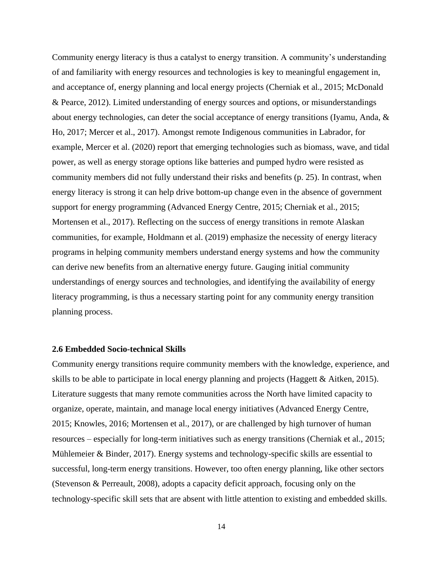Community energy literacy is thus a catalyst to energy transition. A community's understanding of and familiarity with energy resources and technologies is key to meaningful engagement in, and acceptance of, energy planning and local energy projects (Cherniak et al., 2015; McDonald & Pearce, 2012). Limited understanding of energy sources and options, or misunderstandings about energy technologies, can deter the social acceptance of energy transitions (Iyamu, Anda, & Ho, 2017; Mercer et al., 2017). Amongst remote Indigenous communities in Labrador, for example, Mercer et al. (2020) report that emerging technologies such as biomass, wave, and tidal power, as well as energy storage options like batteries and pumped hydro were resisted as community members did not fully understand their risks and benefits (p. 25). In contrast, when energy literacy is strong it can help drive bottom-up change even in the absence of government support for energy programming (Advanced Energy Centre, 2015; Cherniak et al., 2015; Mortensen et al., 2017). Reflecting on the success of energy transitions in remote Alaskan communities, for example, Holdmann et al. (2019) emphasize the necessity of energy literacy programs in helping community members understand energy systems and how the community can derive new benefits from an alternative energy future. Gauging initial community understandings of energy sources and technologies, and identifying the availability of energy literacy programming, is thus a necessary starting point for any community energy transition planning process.

#### **2.6 Embedded Socio-technical Skills**

Community energy transitions require community members with the knowledge, experience, and skills to be able to participate in local energy planning and projects (Haggett & Aitken, 2015). Literature suggests that many remote communities across the North have limited capacity to organize, operate, maintain, and manage local energy initiatives (Advanced Energy Centre, 2015; Knowles, 2016; Mortensen et al., 2017), or are challenged by high turnover of human resources – especially for long-term initiatives such as energy transitions (Cherniak et al., 2015; Mühlemeier & Binder, 2017). Energy systems and technology-specific skills are essential to successful, long-term energy transitions. However, too often energy planning, like other sectors (Stevenson & Perreault, 2008), adopts a capacity deficit approach, focusing only on the technology-specific skill sets that are absent with little attention to existing and embedded skills.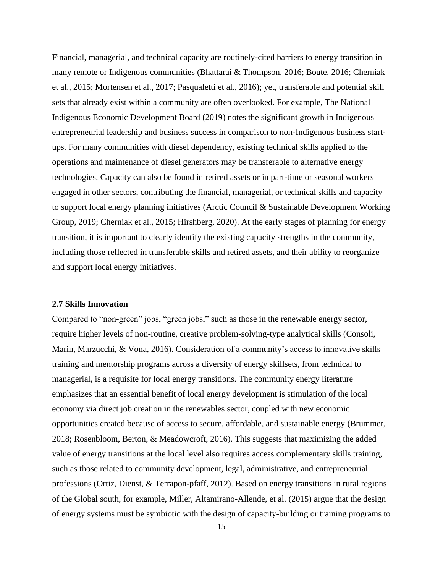Financial, managerial, and technical capacity are routinely-cited barriers to energy transition in many remote or Indigenous communities (Bhattarai & Thompson, 2016; Boute, 2016; Cherniak et al., 2015; Mortensen et al., 2017; Pasqualetti et al., 2016); yet, transferable and potential skill sets that already exist within a community are often overlooked. For example, The National Indigenous Economic Development Board (2019) notes the significant growth in Indigenous entrepreneurial leadership and business success in comparison to non-Indigenous business startups. For many communities with diesel dependency, existing technical skills applied to the operations and maintenance of diesel generators may be transferable to alternative energy technologies. Capacity can also be found in retired assets or in part-time or seasonal workers engaged in other sectors, contributing the financial, managerial, or technical skills and capacity to support local energy planning initiatives (Arctic Council & Sustainable Development Working Group, 2019; Cherniak et al., 2015; Hirshberg, 2020). At the early stages of planning for energy transition, it is important to clearly identify the existing capacity strengths in the community, including those reflected in transferable skills and retired assets, and their ability to reorganize and support local energy initiatives.

### **2.7 Skills Innovation**

Compared to "non-green" jobs, "green jobs," such as those in the renewable energy sector, require higher levels of non-routine, creative problem-solving-type analytical skills (Consoli, Marin, Marzucchi, & Vona, 2016). Consideration of a community's access to innovative skills training and mentorship programs across a diversity of energy skillsets, from technical to managerial, is a requisite for local energy transitions. The community energy literature emphasizes that an essential benefit of local energy development is stimulation of the local economy via direct job creation in the renewables sector, coupled with new economic opportunities created because of access to secure, affordable, and sustainable energy (Brummer, 2018; Rosenbloom, Berton, & Meadowcroft, 2016). This suggests that maximizing the added value of energy transitions at the local level also requires access complementary skills training, such as those related to community development, legal, administrative, and entrepreneurial professions (Ortiz, Dienst, & Terrapon-pfaff, 2012). Based on energy transitions in rural regions of the Global south, for example, Miller, Altamirano-Allende, et al. (2015) argue that the design of energy systems must be symbiotic with the design of capacity-building or training programs to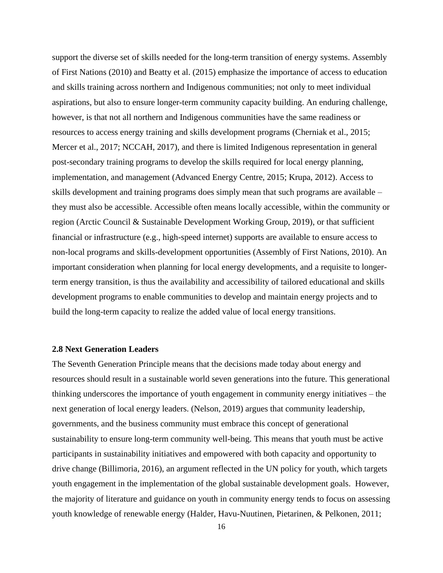support the diverse set of skills needed for the long-term transition of energy systems. Assembly of First Nations (2010) and Beatty et al. (2015) emphasize the importance of access to education and skills training across northern and Indigenous communities; not only to meet individual aspirations, but also to ensure longer-term community capacity building. An enduring challenge, however, is that not all northern and Indigenous communities have the same readiness or resources to access energy training and skills development programs (Cherniak et al., 2015; Mercer et al., 2017; NCCAH, 2017), and there is limited Indigenous representation in general post-secondary training programs to develop the skills required for local energy planning, implementation, and management (Advanced Energy Centre, 2015; Krupa, 2012). Access to skills development and training programs does simply mean that such programs are available – they must also be accessible. Accessible often means locally accessible, within the community or region (Arctic Council & Sustainable Development Working Group, 2019), or that sufficient financial or infrastructure (e.g., high-speed internet) supports are available to ensure access to non-local programs and skills-development opportunities (Assembly of First Nations, 2010). An important consideration when planning for local energy developments, and a requisite to longerterm energy transition, is thus the availability and accessibility of tailored educational and skills development programs to enable communities to develop and maintain energy projects and to build the long-term capacity to realize the added value of local energy transitions.

### **2.8 Next Generation Leaders**

The Seventh Generation Principle means that the decisions made today about energy and resources should result in a sustainable world seven generations into the future. This generational thinking underscores the importance of youth engagement in community energy initiatives – the next generation of local energy leaders. (Nelson, 2019) argues that community leadership, governments, and the business community must embrace this concept of generational sustainability to ensure long-term community well-being. This means that youth must be active participants in sustainability initiatives and empowered with both capacity and opportunity to drive change (Billimoria, 2016), an argument reflected in the UN policy for youth, which targets youth engagement in the implementation of the global sustainable development goals. However, the majority of literature and guidance on youth in community energy tends to focus on assessing youth knowledge of renewable energy (Halder, Havu-Nuutinen, Pietarinen, & Pelkonen, 2011;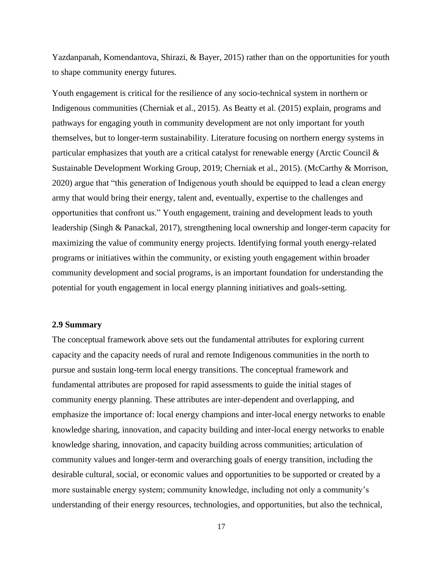Yazdanpanah, Komendantova, Shirazi, & Bayer, 2015) rather than on the opportunities for youth to shape community energy futures.

Youth engagement is critical for the resilience of any socio-technical system in northern or Indigenous communities (Cherniak et al., 2015). As Beatty et al. (2015) explain, programs and pathways for engaging youth in community development are not only important for youth themselves, but to longer-term sustainability. Literature focusing on northern energy systems in particular emphasizes that youth are a critical catalyst for renewable energy (Arctic Council & Sustainable Development Working Group, 2019; Cherniak et al., 2015). (McCarthy & Morrison, 2020) argue that "this generation of Indigenous youth should be equipped to lead a clean energy army that would bring their energy, talent and, eventually, expertise to the challenges and opportunities that confront us." Youth engagement, training and development leads to youth leadership (Singh & Panackal, 2017), strengthening local ownership and longer-term capacity for maximizing the value of community energy projects. Identifying formal youth energy-related programs or initiatives within the community, or existing youth engagement within broader community development and social programs, is an important foundation for understanding the potential for youth engagement in local energy planning initiatives and goals-setting.

#### **2.9 Summary**

The conceptual framework above sets out the fundamental attributes for exploring current capacity and the capacity needs of rural and remote Indigenous communities in the north to pursue and sustain long-term local energy transitions. The conceptual framework and fundamental attributes are proposed for rapid assessments to guide the initial stages of community energy planning. These attributes are inter-dependent and overlapping, and emphasize the importance of: local energy champions and inter-local energy networks to enable knowledge sharing, innovation, and capacity building and inter-local energy networks to enable knowledge sharing, innovation, and capacity building across communities; articulation of community values and longer-term and overarching goals of energy transition, including the desirable cultural, social, or economic values and opportunities to be supported or created by a more sustainable energy system; community knowledge, including not only a community's understanding of their energy resources, technologies, and opportunities, but also the technical,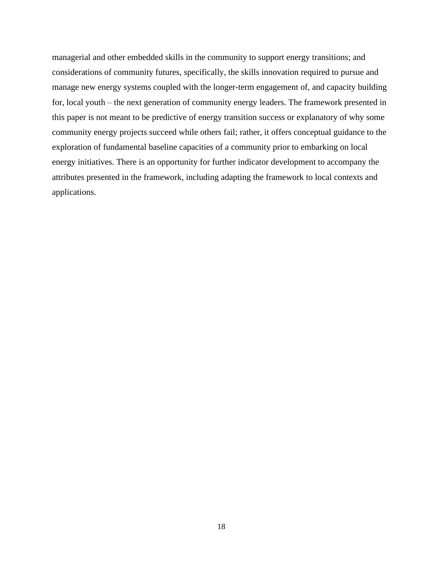managerial and other embedded skills in the community to support energy transitions; and considerations of community futures, specifically, the skills innovation required to pursue and manage new energy systems coupled with the longer-term engagement of, and capacity building for, local youth – the next generation of community energy leaders. The framework presented in this paper is not meant to be predictive of energy transition success or explanatory of why some community energy projects succeed while others fail; rather, it offers conceptual guidance to the exploration of fundamental baseline capacities of a community prior to embarking on local energy initiatives. There is an opportunity for further indicator development to accompany the attributes presented in the framework, including adapting the framework to local contexts and applications.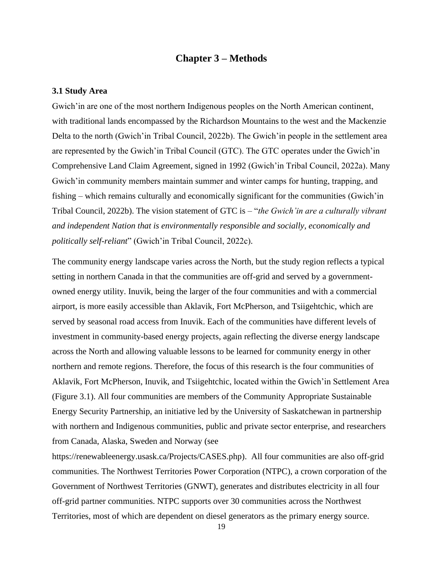## **Chapter 3 – Methods**

## **3.1 Study Area**

Gwich'in are one of the most northern Indigenous peoples on the North American continent, with traditional lands encompassed by the Richardson Mountains to the west and the Mackenzie Delta to the north (Gwich'in Tribal Council, 2022b). The Gwich'in people in the settlement area are represented by the Gwich'in Tribal Council (GTC). The GTC operates under the Gwich'in Comprehensive Land Claim Agreement, signed in 1992 (Gwich'in Tribal Council, 2022a). Many Gwich'in community members maintain summer and winter camps for hunting, trapping, and fishing – which remains culturally and economically significant for the communities (Gwich'in Tribal Council, 2022b). The vision statement of GTC is – "*the Gwich'in are a culturally vibrant and independent Nation that is environmentally responsible and socially, economically and politically self-reliant*" (Gwich'in Tribal Council, 2022c).

The community energy landscape varies across the North, but the study region reflects a typical setting in northern Canada in that the communities are off-grid and served by a governmentowned energy utility. Inuvik, being the larger of the four communities and with a commercial airport, is more easily accessible than Aklavik, Fort McPherson, and Tsiigehtchic, which are served by seasonal road access from Inuvik. Each of the communities have different levels of investment in community-based energy projects, again reflecting the diverse energy landscape across the North and allowing valuable lessons to be learned for community energy in other northern and remote regions. Therefore, the focus of this research is the four communities of Aklavik, Fort McPherson, Inuvik, and Tsiigehtchic, located within the Gwich'in Settlement Area (Figure 3.1). All four communities are members of the Community Appropriate Sustainable Energy Security Partnership, an initiative led by the University of Saskatchewan in partnership with northern and Indigenous communities, public and private sector enterprise, and researchers from Canada, Alaska, Sweden and Norway (see

https://renewableenergy.usask.ca/Projects/CASES.php). All four communities are also off-grid communities. The Northwest Territories Power Corporation (NTPC), a crown corporation of the Government of Northwest Territories (GNWT), generates and distributes electricity in all four off-grid partner communities. NTPC supports over 30 communities across the Northwest Territories, most of which are dependent on diesel generators as the primary energy source.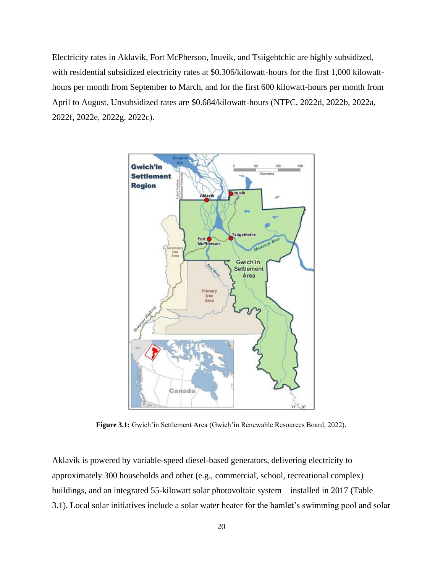Electricity rates in Aklavik, Fort McPherson, Inuvik, and Tsiigehtchic are highly subsidized, with residential subsidized electricity rates at \$0.306/kilowatt-hours for the first 1,000 kilowatthours per month from September to March, and for the first 600 kilowatt-hours per month from April to August. Unsubsidized rates are \$0.684/kilowatt-hours (NTPC, 2022d, 2022b, 2022a, 2022f, 2022e, 2022g, 2022c).



**Figure 3.1:** Gwich'in Settlement Area (Gwich'in Renewable Resources Board, 2022).

Aklavik is powered by variable-speed diesel-based generators, delivering electricity to approximately 300 households and other (e.g., commercial, school, recreational complex) buildings, and an integrated 55-kilowatt solar photovoltaic system – installed in 2017 (Table 3.1). Local solar initiatives include a solar water heater for the hamlet's swimming pool and solar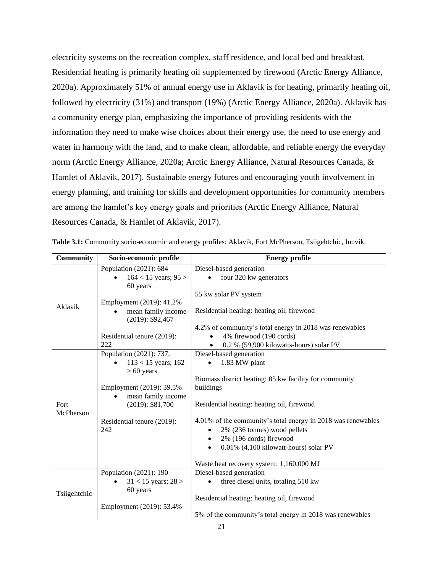electricity systems on the recreation complex, staff residence, and local bed and breakfast. Residential heating is primarily heating oil supplemented by firewood (Arctic Energy Alliance, 2020a). Approximately 51% of annual energy use in Aklavik is for heating, primarily heating oil, followed by electricity (31%) and transport (19%) (Arctic Energy Alliance, 2020a). Aklavik has a community energy plan, emphasizing the importance of providing residents with the information they need to make wise choices about their energy use, the need to use energy and water in harmony with the land, and to make clean, affordable, and reliable energy the everyday norm (Arctic Energy Alliance, 2020a; Arctic Energy Alliance, Natural Resources Canada, & Hamlet of Aklavik, 2017). Sustainable energy futures and encouraging youth involvement in energy planning, and training for skills and development opportunities for community members are among the hamlet's key energy goals and priorities (Arctic Energy Alliance, Natural Resources Canada, & Hamlet of Aklavik, 2017).

| <b>Community</b>  | Socio-economic profile                    | <b>Energy profile</b>                                        |  |
|-------------------|-------------------------------------------|--------------------------------------------------------------|--|
|                   | Population (2021): 684                    | Diesel-based generation                                      |  |
|                   | $164 < 15$ years; $95 >$                  | four 320 kw generators                                       |  |
|                   | 60 years                                  |                                                              |  |
|                   |                                           | 55 kw solar PV system                                        |  |
| Aklavik           | Employment (2019): 41.2%                  |                                                              |  |
|                   | mean family income<br>$(2019)$ : \$92,467 | Residential heating: heating oil, firewood                   |  |
|                   |                                           | 4.2% of community's total energy in 2018 was renewables      |  |
|                   | Residential tenure (2019):                | 4% firewood (190 cords)                                      |  |
|                   | 222                                       | 0.2 % (59,900 kilowatts-hours) solar PV                      |  |
|                   | Population (2021): 737,                   | Diesel-based generation                                      |  |
|                   | $113 < 15$ years; 162                     | 1.83 MW plant                                                |  |
|                   | $> 60$ years                              |                                                              |  |
|                   |                                           | Biomass district heating: 85 kw facility for community       |  |
|                   | Employment (2019): 39.5%                  | buildings                                                    |  |
|                   | mean family income                        |                                                              |  |
| Fort<br>McPherson | $(2019)$ : \$81,700                       | Residential heating: heating oil, firewood                   |  |
|                   | Residential tenure (2019):                | 4.01% of the community's total energy in 2018 was renewables |  |
|                   | 242                                       | 2% (236 tonnes) wood pellets                                 |  |
|                   |                                           | 2% (196 cords) firewood                                      |  |
|                   |                                           | 0.01% (4,100 kilowatt-hours) solar PV                        |  |
|                   |                                           |                                                              |  |
|                   |                                           | Waste heat recovery system: 1,160,000 MJ                     |  |
|                   | Population (2021): 190                    | Diesel-based generation                                      |  |
| Tsiigehtchic      | $31 < 15$ years; $28 >$                   | three diesel units, totaling 510 kw                          |  |
|                   | 60 years                                  |                                                              |  |
|                   |                                           | Residential heating: heating oil, firewood                   |  |
|                   | Employment (2019): 53.4%                  |                                                              |  |
|                   |                                           | 5% of the community's total energy in 2018 was renewables    |  |

**Table 3.1:** Community socio-economic and energy profiles: Aklavik, Fort McPherson, Tsiigehtchic, Inuvik.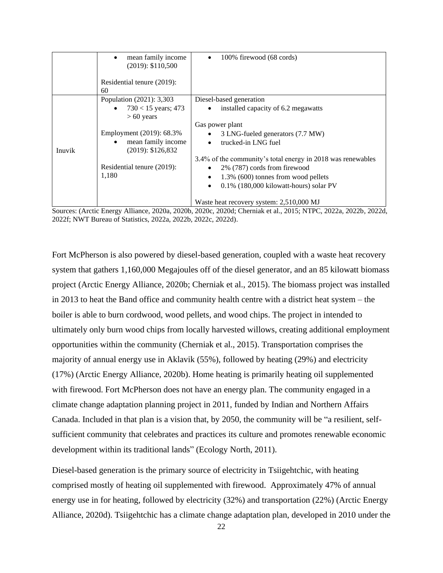|        | mean family income<br>$(2019)$ : \$110,500<br>Residential tenure (2019):<br>60                                             | 100% firewood (68 cords)<br>٠                                                                                                                                                                                                                                                                                                                                              |
|--------|----------------------------------------------------------------------------------------------------------------------------|----------------------------------------------------------------------------------------------------------------------------------------------------------------------------------------------------------------------------------------------------------------------------------------------------------------------------------------------------------------------------|
|        | Population (2021): 3,303<br>$730 < 15$ years; 473                                                                          | Diesel-based generation<br>installed capacity of 6.2 megawatts<br>$\bullet$                                                                                                                                                                                                                                                                                                |
| Inuvik | $> 60$ years<br>Employment (2019): 68.3%<br>mean family income<br>(2019): \$126,832<br>Residential tenure (2019):<br>1,180 | Gas power plant<br>3 LNG-fueled generators (7.7 MW)<br>$\bullet$<br>trucked-in LNG fuel<br>$\bullet$<br>3.4% of the community's total energy in 2018 was renewables<br>2% (787) cords from firewood<br>$\bullet$<br>1.3% (600) tonnes from wood pellets<br>$\bullet$<br>$0.1\%$ (180,000 kilowatt-hours) solar PV<br>$\bullet$<br>Waste heat recovery system: 2,510,000 MJ |

Sources: (Arctic Energy Alliance, 2020a, 2020b, 2020c, 2020d; Cherniak et al., 2015; NTPC, 2022a, 2022b, 2022d, 2022f; NWT Bureau of Statistics, 2022a, 2022b, 2022c, 2022d).

Fort McPherson is also powered by diesel-based generation, coupled with a waste heat recovery system that gathers 1,160,000 Megajoules off of the diesel generator, and an 85 kilowatt biomass project (Arctic Energy Alliance, 2020b; Cherniak et al., 2015). The biomass project was installed in 2013 to heat the Band office and community health centre with a district heat system – the boiler is able to burn cordwood, wood pellets, and wood chips. The project in intended to ultimately only burn wood chips from locally harvested willows, creating additional employment opportunities within the community (Cherniak et al., 2015). Transportation comprises the majority of annual energy use in Aklavik (55%), followed by heating (29%) and electricity (17%) (Arctic Energy Alliance, 2020b). Home heating is primarily heating oil supplemented with firewood. Fort McPherson does not have an energy plan. The community engaged in a climate change adaptation planning project in 2011, funded by Indian and Northern Affairs Canada. Included in that plan is a vision that, by 2050, the community will be "a resilient, selfsufficient community that celebrates and practices its culture and promotes renewable economic development within its traditional lands" (Ecology North, 2011).

Diesel-based generation is the primary source of electricity in Tsiigehtchic, with heating comprised mostly of heating oil supplemented with firewood. Approximately 47% of annual energy use in for heating, followed by electricity (32%) and transportation (22%) (Arctic Energy Alliance, 2020d). Tsiigehtchic has a climate change adaptation plan, developed in 2010 under the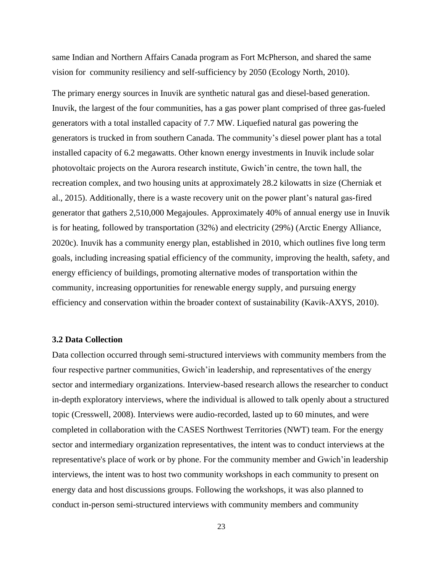same Indian and Northern Affairs Canada program as Fort McPherson, and shared the same vision for community resiliency and self-sufficiency by 2050 (Ecology North, 2010).

The primary energy sources in Inuvik are synthetic natural gas and diesel-based generation. Inuvik, the largest of the four communities, has a gas power plant comprised of three gas-fueled generators with a total installed capacity of 7.7 MW. Liquefied natural gas powering the generators is trucked in from southern Canada. The community's diesel power plant has a total installed capacity of 6.2 megawatts. Other known energy investments in Inuvik include solar photovoltaic projects on the Aurora research institute, Gwich'in centre, the town hall, the recreation complex, and two housing units at approximately 28.2 kilowatts in size (Cherniak et al., 2015). Additionally, there is a waste recovery unit on the power plant's natural gas-fired generator that gathers 2,510,000 Megajoules. Approximately 40% of annual energy use in Inuvik is for heating, followed by transportation (32%) and electricity (29%) (Arctic Energy Alliance, 2020c). Inuvik has a community energy plan, established in 2010, which outlines five long term goals, including increasing spatial efficiency of the community, improving the health, safety, and energy efficiency of buildings, promoting alternative modes of transportation within the community, increasing opportunities for renewable energy supply, and pursuing energy efficiency and conservation within the broader context of sustainability (Kavik-AXYS, 2010).

### **3.2 Data Collection**

Data collection occurred through semi-structured interviews with community members from the four respective partner communities, Gwich'in leadership, and representatives of the energy sector and intermediary organizations. Interview-based research allows the researcher to conduct in-depth exploratory interviews, where the individual is allowed to talk openly about a structured topic (Cresswell, 2008). Interviews were audio-recorded, lasted up to 60 minutes, and were completed in collaboration with the CASES Northwest Territories (NWT) team. For the energy sector and intermediary organization representatives, the intent was to conduct interviews at the representative's place of work or by phone. For the community member and Gwich'in leadership interviews, the intent was to host two community workshops in each community to present on energy data and host discussions groups. Following the workshops, it was also planned to conduct in-person semi-structured interviews with community members and community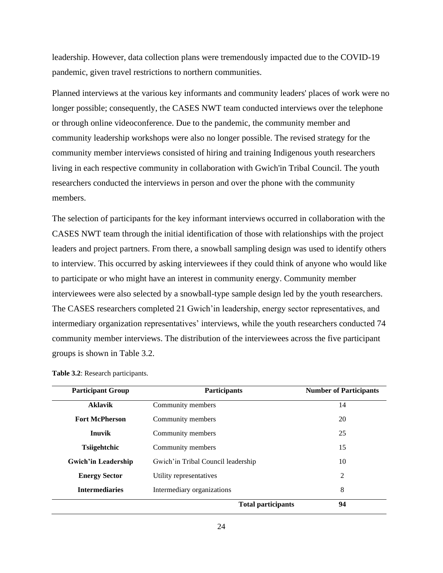leadership. However, data collection plans were tremendously impacted due to the COVID-19 pandemic, given travel restrictions to northern communities.

Planned interviews at the various key informants and community leaders' places of work were no longer possible; consequently, the CASES NWT team conducted interviews over the telephone or through online videoconference. Due to the pandemic, the community member and community leadership workshops were also no longer possible. The revised strategy for the community member interviews consisted of hiring and training Indigenous youth researchers living in each respective community in collaboration with Gwich'in Tribal Council. The youth researchers conducted the interviews in person and over the phone with the community members.

The selection of participants for the key informant interviews occurred in collaboration with the CASES NWT team through the initial identification of those with relationships with the project leaders and project partners. From there, a snowball sampling design was used to identify others to interview. This occurred by asking interviewees if they could think of anyone who would like to participate or who might have an interest in community energy. Community member interviewees were also selected by a snowball-type sample design led by the youth researchers. The CASES researchers completed 21 Gwich'in leadership, energy sector representatives, and intermediary organization representatives' interviews, while the youth researchers conducted 74 community member interviews. The distribution of the interviewees across the five participant groups is shown in Table 3.2.

| <b>Participant Group</b>            | <b>Participants</b>                | <b>Number of Participants</b> |
|-------------------------------------|------------------------------------|-------------------------------|
| <b>Aklavik</b><br>Community members |                                    | 14                            |
| <b>Fort McPherson</b>               | Community members                  | 20                            |
| <b>Inuvik</b><br>Community members  |                                    | 25                            |
| <b>Tsiigehtchic</b>                 | Community members                  | 15                            |
| <b>Gwich'in Leadership</b>          | Gwich'in Tribal Council leadership | 10                            |
| <b>Energy Sector</b>                | Utility representatives            | 2                             |
| <b>Intermediaries</b>               | Intermediary organizations         | 8                             |
|                                     | <b>Total participants</b>          | 94                            |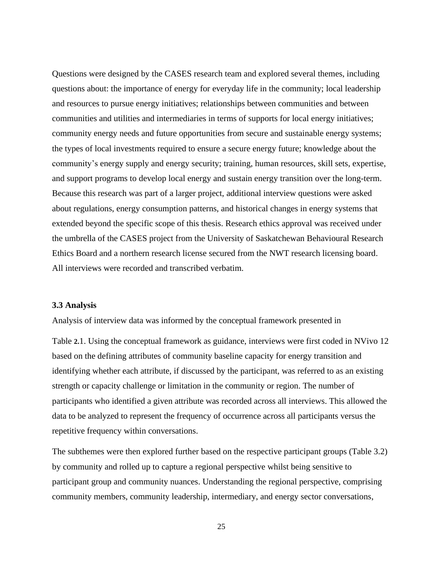Questions were designed by the CASES research team and explored several themes, including questions about: the importance of energy for everyday life in the community; local leadership and resources to pursue energy initiatives; relationships between communities and between communities and utilities and intermediaries in terms of supports for local energy initiatives; community energy needs and future opportunities from secure and sustainable energy systems; the types of local investments required to ensure a secure energy future; knowledge about the community's energy supply and energy security; training, human resources, skill sets, expertise, and support programs to develop local energy and sustain energy transition over the long-term. Because this research was part of a larger project, additional interview questions were asked about regulations, energy consumption patterns, and historical changes in energy systems that extended beyond the specific scope of this thesis. Research ethics approval was received under the umbrella of the CASES project from the University of Saskatchewan Behavioural Research Ethics Board and a northern research license secured from the NWT research licensing board. All interviews were recorded and transcribed verbatim.

#### **3.3 Analysis**

Analysis of interview data was informed by the conceptual framework presented in

[Table](#page-15-0) **2.**1. Using the conceptual framework as guidance, interviews were first coded in NVivo 12 based on the defining attributes of community baseline capacity for energy transition and identifying whether each attribute, if discussed by the participant, was referred to as an existing strength or capacity challenge or limitation in the community or region. The number of participants who identified a given attribute was recorded across all interviews. This allowed the data to be analyzed to represent the frequency of occurrence across all participants versus the repetitive frequency within conversations.

The subthemes were then explored further based on the respective participant groups (Table 3.2) by community and rolled up to capture a regional perspective whilst being sensitive to participant group and community nuances. Understanding the regional perspective, comprising community members, community leadership, intermediary, and energy sector conversations,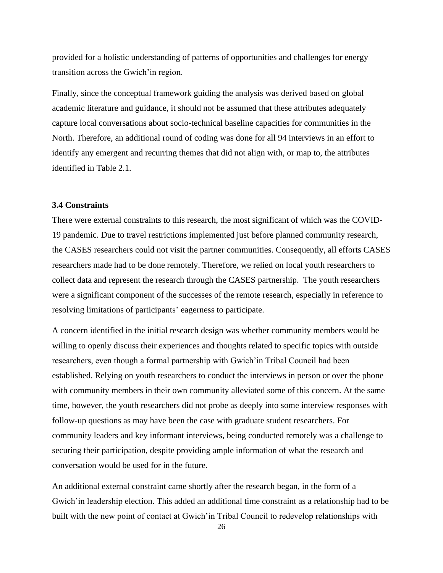provided for a holistic understanding of patterns of opportunities and challenges for energy transition across the Gwich'in region.

Finally, since the conceptual framework guiding the analysis was derived based on global academic literature and guidance, it should not be assumed that these attributes adequately capture local conversations about socio-technical baseline capacities for communities in the North. Therefore, an additional round of coding was done for all 94 interviews in an effort to identify any emergent and recurring themes that did not align with, or map to, the attributes identified in Table 2.1.

## **3.4 Constraints**

There were external constraints to this research, the most significant of which was the COVID-19 pandemic. Due to travel restrictions implemented just before planned community research, the CASES researchers could not visit the partner communities. Consequently, all efforts CASES researchers made had to be done remotely. Therefore, we relied on local youth researchers to collect data and represent the research through the CASES partnership. The youth researchers were a significant component of the successes of the remote research, especially in reference to resolving limitations of participants' eagerness to participate.

A concern identified in the initial research design was whether community members would be willing to openly discuss their experiences and thoughts related to specific topics with outside researchers, even though a formal partnership with Gwich'in Tribal Council had been established. Relying on youth researchers to conduct the interviews in person or over the phone with community members in their own community alleviated some of this concern. At the same time, however, the youth researchers did not probe as deeply into some interview responses with follow-up questions as may have been the case with graduate student researchers. For community leaders and key informant interviews, being conducted remotely was a challenge to securing their participation, despite providing ample information of what the research and conversation would be used for in the future.

An additional external constraint came shortly after the research began, in the form of a Gwich'in leadership election. This added an additional time constraint as a relationship had to be built with the new point of contact at Gwich'in Tribal Council to redevelop relationships with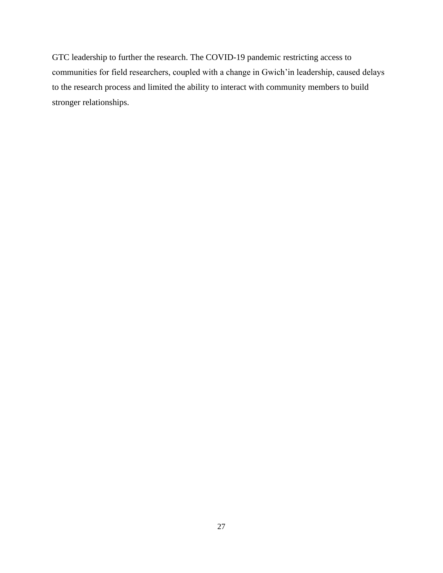GTC leadership to further the research. The COVID-19 pandemic restricting access to communities for field researchers, coupled with a change in Gwich'in leadership, caused delays to the research process and limited the ability to interact with community members to build stronger relationships.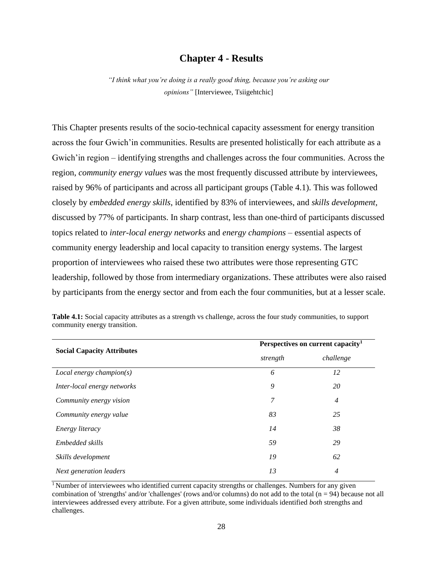## **Chapter 4 - Results**

*"I think what you're doing is a really good thing, because you're asking our opinions"* [Interviewee, Tsiigehtchic]

This Chapter presents results of the socio-technical capacity assessment for energy transition across the four Gwich'in communities. Results are presented holistically for each attribute as a Gwich'in region – identifying strengths and challenges across the four communities. Across the region, *community energy values* was the most frequently discussed attribute by interviewees, raised by 96% of participants and across all participant groups (Table 4.1). This was followed closely by *embedded energy skills*, identified by 83% of interviewees, and *skills development,*  discussed by 77% of participants. In sharp contrast, less than one-third of participants discussed topics related to *inter-local energy networks* and *energy champions* – essential aspects of community energy leadership and local capacity to transition energy systems. The largest proportion of interviewees who raised these two attributes were those representing GTC leadership, followed by those from intermediary organizations. These attributes were also raised by participants from the energy sector and from each the four communities, but at a lesser scale.

|                                   | Perspectives on current capacity <sup>1</sup> |                |
|-----------------------------------|-----------------------------------------------|----------------|
| <b>Social Capacity Attributes</b> | strength                                      | challenge      |
| $Local$ energy champion(s)        | 6                                             | 12             |
| Inter-local energy networks       | 9                                             | 20             |
| Community energy vision           | 7                                             | $\overline{4}$ |
| Community energy value            | 83                                            | 25             |
| <i>Energy literacy</i>            | 14                                            | 38             |
| Embedded skills                   | 59                                            | 29             |
| Skills development                | 19                                            | 62             |
| Next generation leaders           | 13                                            | $\overline{4}$ |

**Table 4.1:** Social capacity attributes as a strength vs challenge, across the four study communities, to support community energy transition.

<sup>1</sup>Number of interviewees who identified current capacity strengths or challenges. Numbers for any given combination of 'strengths' and/or 'challenges' (rows and/or columns) do not add to the total  $(n = 94)$  because not all interviewees addressed every attribute. For a given attribute, some individuals identified *both* strengths and challenges.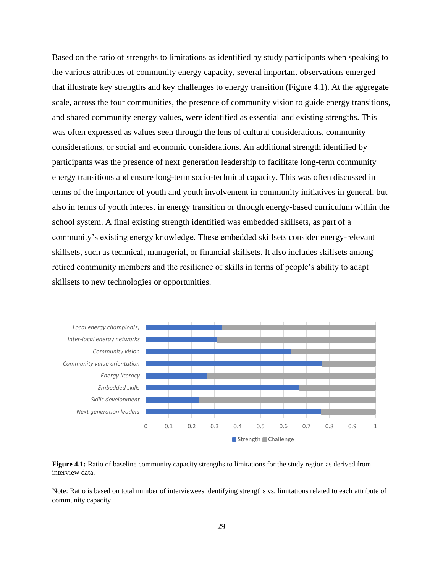Based on the ratio of strengths to limitations as identified by study participants when speaking to the various attributes of community energy capacity, several important observations emerged that illustrate key strengths and key challenges to energy transition (Figure 4.1). At the aggregate scale, across the four communities, the presence of community vision to guide energy transitions, and shared community energy values, were identified as essential and existing strengths. This was often expressed as values seen through the lens of cultural considerations, community considerations, or social and economic considerations. An additional strength identified by participants was the presence of next generation leadership to facilitate long-term community energy transitions and ensure long-term socio-technical capacity. This was often discussed in terms of the importance of youth and youth involvement in community initiatives in general, but also in terms of youth interest in energy transition or through energy-based curriculum within the school system. A final existing strength identified was embedded skillsets, as part of a community's existing energy knowledge. These embedded skillsets consider energy-relevant skillsets, such as technical, managerial, or financial skillsets. It also includes skillsets among retired community members and the resilience of skills in terms of people's ability to adapt skillsets to new technologies or opportunities.



**Figure 4.1:** Ratio of baseline community capacity strengths to limitations for the study region as derived from interview data.

Note: Ratio is based on total number of interviewees identifying strengths vs. limitations related to each attribute of community capacity.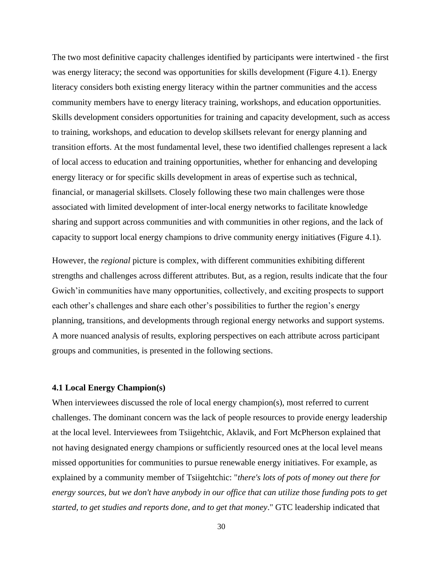The two most definitive capacity challenges identified by participants were intertwined - the first was energy literacy; the second was opportunities for skills development (Figure 4.1). Energy literacy considers both existing energy literacy within the partner communities and the access community members have to energy literacy training, workshops, and education opportunities. Skills development considers opportunities for training and capacity development, such as access to training, workshops, and education to develop skillsets relevant for energy planning and transition efforts. At the most fundamental level, these two identified challenges represent a lack of local access to education and training opportunities, whether for enhancing and developing energy literacy or for specific skills development in areas of expertise such as technical, financial, or managerial skillsets. Closely following these two main challenges were those associated with limited development of inter-local energy networks to facilitate knowledge sharing and support across communities and with communities in other regions, and the lack of capacity to support local energy champions to drive community energy initiatives (Figure 4.1).

However, the *regional* picture is complex, with different communities exhibiting different strengths and challenges across different attributes. But, as a region, results indicate that the four Gwich'in communities have many opportunities, collectively, and exciting prospects to support each other's challenges and share each other's possibilities to further the region's energy planning, transitions, and developments through regional energy networks and support systems. A more nuanced analysis of results, exploring perspectives on each attribute across participant groups and communities, is presented in the following sections.

#### **4.1 Local Energy Champion(s)**

When interviewees discussed the role of local energy champion(s), most referred to current challenges. The dominant concern was the lack of people resources to provide energy leadership at the local level. Interviewees from Tsiigehtchic, Aklavik, and Fort McPherson explained that not having designated energy champions or sufficiently resourced ones at the local level means missed opportunities for communities to pursue renewable energy initiatives. For example, as explained by a community member of Tsiigehtchic: "*there's lots of pots of money out there for energy sources, but we don't have anybody in our office that can utilize those funding pots to get started, to get studies and reports done, and to get that money*." GTC leadership indicated that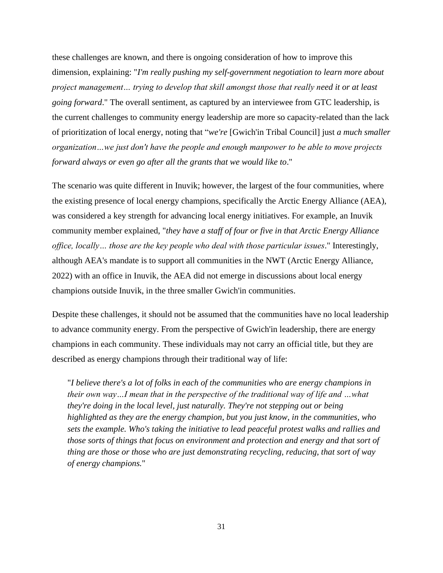these challenges are known, and there is ongoing consideration of how to improve this dimension, explaining: "*I'm really pushing my self-government negotiation to learn more about project management… trying to develop that skill amongst those that really need it or at least going forward*." The overall sentiment, as captured by an interviewee from GTC leadership, is the current challenges to community energy leadership are more so capacity-related than the lack of prioritization of local energy, noting that "*we're* [Gwich'in Tribal Council] just *a much smaller organization…we just don't have the people and enough manpower to be able to move projects forward always or even go after all the grants that we would like to*."

The scenario was quite different in Inuvik; however, the largest of the four communities, where the existing presence of local energy champions, specifically the Arctic Energy Alliance (AEA), was considered a key strength for advancing local energy initiatives. For example, an Inuvik community member explained, "*they have a staff of four or five in that Arctic Energy Alliance office, locally… those are the key people who deal with those particular issues*." Interestingly, although AEA's mandate is to support all communities in the NWT (Arctic Energy Alliance, 2022) with an office in Inuvik, the AEA did not emerge in discussions about local energy champions outside Inuvik, in the three smaller Gwich'in communities.

Despite these challenges, it should not be assumed that the communities have no local leadership to advance community energy. From the perspective of Gwich'in leadership, there are energy champions in each community. These individuals may not carry an official title, but they are described as energy champions through their traditional way of life:

"*I believe there's a lot of folks in each of the communities who are energy champions in their own way…I mean that in the perspective of the traditional way of life and …what they're doing in the local level, just naturally. They're not stepping out or being highlighted as they are the energy champion, but you just know, in the communities, who sets the example. Who's taking the initiative to lead peaceful protest walks and rallies and those sorts of things that focus on environment and protection and energy and that sort of thing are those or those who are just demonstrating recycling, reducing, that sort of way of energy champions.*"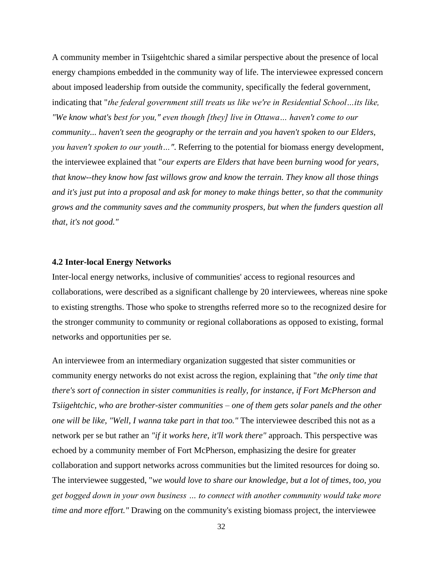A community member in Tsiigehtchic shared a similar perspective about the presence of local energy champions embedded in the community way of life. The interviewee expressed concern about imposed leadership from outside the community, specifically the federal government, indicating that "*the federal government still treats us like we're in Residential School…its like, "We know what's best for you," even though [they] live in Ottawa… haven't come to our community... haven't seen the geography or the terrain and you haven't spoken to our Elders, you haven't spoken to our youth…"*. Referring to the potential for biomass energy development, the interviewee explained that "*our experts are Elders that have been burning wood for years, that know--they know how fast willows grow and know the terrain. They know all those things and it's just put into a proposal and ask for money to make things better, so that the community grows and the community saves and the community prospers, but when the funders question all that, it's not good."*

#### **4.2 Inter-local Energy Networks**

Inter-local energy networks, inclusive of communities' access to regional resources and collaborations, were described as a significant challenge by 20 interviewees, whereas nine spoke to existing strengths. Those who spoke to strengths referred more so to the recognized desire for the stronger community to community or regional collaborations as opposed to existing, formal networks and opportunities per se.

An interviewee from an intermediary organization suggested that sister communities or community energy networks do not exist across the region, explaining that "*the only time that there's sort of connection in sister communities is really, for instance, if Fort McPherson and Tsiigehtchic, who are brother-sister communities – one of them gets solar panels and the other one will be like, "Well, I wanna take part in that too."* The interviewee described this not as a network per se but rather an *"if it works here, it'll work there"* approach. This perspective was echoed by a community member of Fort McPherson, emphasizing the desire for greater collaboration and support networks across communities but the limited resources for doing so. The interviewee suggested, "*we would love to share our knowledge, but a lot of times, too, you get bogged down in your own business … to connect with another community would take more time and more effort."* Drawing on the community's existing biomass project, the interviewee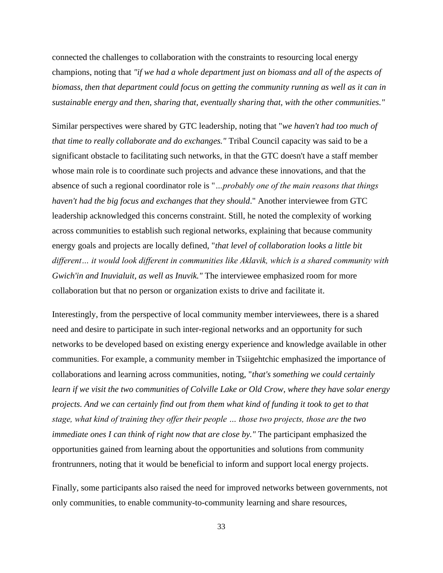connected the challenges to collaboration with the constraints to resourcing local energy champions, noting that *"if we had a whole department just on biomass and all of the aspects of biomass, then that department could focus on getting the community running as well as it can in sustainable energy and then, sharing that, eventually sharing that, with the other communities."* 

Similar perspectives were shared by GTC leadership, noting that "*we haven't had too much of that time to really collaborate and do exchanges."* Tribal Council capacity was said to be a significant obstacle to facilitating such networks, in that the GTC doesn't have a staff member whose main role is to coordinate such projects and advance these innovations, and that the absence of such a regional coordinator role is "*…probably one of the main reasons that things haven't had the big focus and exchanges that they should*." Another interviewee from GTC leadership acknowledged this concerns constraint. Still, he noted the complexity of working across communities to establish such regional networks, explaining that because community energy goals and projects are locally defined, "*that level of collaboration looks a little bit different… it would look different in communities like Aklavik, which is a shared community with Gwich'in and Inuvialuit, as well as Inuvik."* The interviewee emphasized room for more collaboration but that no person or organization exists to drive and facilitate it.

Interestingly, from the perspective of local community member interviewees, there is a shared need and desire to participate in such inter-regional networks and an opportunity for such networks to be developed based on existing energy experience and knowledge available in other communities. For example, a community member in Tsiigehtchic emphasized the importance of collaborations and learning across communities, noting, "*that's something we could certainly learn if we visit the two communities of Colville Lake or Old Crow, where they have solar energy projects. And we can certainly find out from them what kind of funding it took to get to that stage, what kind of training they offer their people … those two projects, those are the two immediate ones I can think of right now that are close by."* The participant emphasized the opportunities gained from learning about the opportunities and solutions from community frontrunners, noting that it would be beneficial to inform and support local energy projects.

Finally, some participants also raised the need for improved networks between governments, not only communities, to enable community-to-community learning and share resources,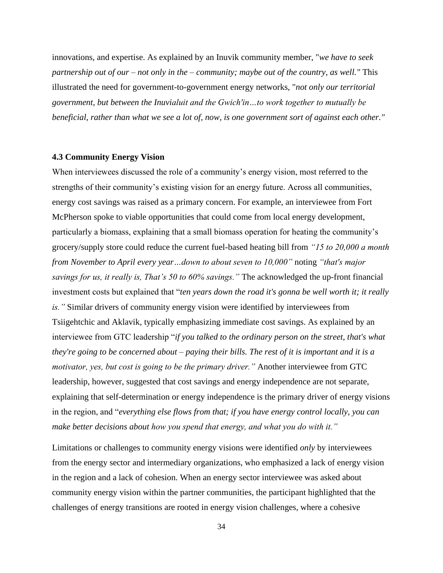innovations, and expertise. As explained by an Inuvik community member, "*we have to seek partnership out of our – not only in the – community; maybe out of the country, as well."* This illustrated the need for government-to-government energy networks, "*not only our territorial government, but between the Inuvialuit and the Gwich'in…to work together to mutually be beneficial, rather than what we see a lot of, now, is one government sort of against each other."* 

## **4.3 Community Energy Vision**

When interviewees discussed the role of a community's energy vision, most referred to the strengths of their community's existing vision for an energy future. Across all communities, energy cost savings was raised as a primary concern. For example, an interviewee from Fort McPherson spoke to viable opportunities that could come from local energy development, particularly a biomass, explaining that a small biomass operation for heating the community's grocery/supply store could reduce the current fuel-based heating bill from *"15 to 20,000 a month from November to April every year...down to about seven to 10,000"* noting "*that's major savings for us, it really is, That's 50 to 60% savings."* The acknowledged the up-front financial investment costs but explained that "*ten years down the road it's gonna be well worth it; it really is."* Similar drivers of community energy vision were identified by interviewees from Tsiigehtchic and Aklavik, typically emphasizing immediate cost savings. As explained by an interviewee from GTC leadership "*if you talked to the ordinary person on the street, that's what they're going to be concerned about – paying their bills. The rest of it is important and it is a motivator, yes, but cost is going to be the primary driver."* Another interviewee from GTC leadership, however, suggested that cost savings and energy independence are not separate, explaining that self-determination or energy independence is the primary driver of energy visions in the region, and "*everything else flows from that; if you have energy control locally, you can make better decisions about how you spend that energy, and what you do with it."*

Limitations or challenges to community energy visions were identified *only* by interviewees from the energy sector and intermediary organizations, who emphasized a lack of energy vision in the region and a lack of cohesion. When an energy sector interviewee was asked about community energy vision within the partner communities, the participant highlighted that the challenges of energy transitions are rooted in energy vision challenges, where a cohesive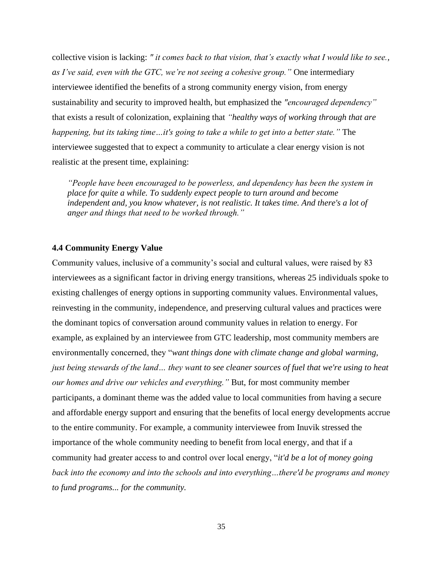collective vision is lacking: *" it comes back to that vision, that's exactly what I would like to see., as I've said, even with the GTC, we're not seeing a cohesive group."* One intermediary interviewee identified the benefits of a strong community energy vision, from energy sustainability and security to improved health, but emphasized the *"encouraged dependency"* that exists a result of colonization, explaining that *"healthy ways of working through that are happening, but its taking time…it's going to take a while to get into a better state."* The interviewee suggested that to expect a community to articulate a clear energy vision is not realistic at the present time, explaining:

*"People have been encouraged to be powerless, and dependency has been the system in place for quite a while. To suddenly expect people to turn around and become independent and, you know whatever, is not realistic. It takes time. And there's a lot of anger and things that need to be worked through."*

### **4.4 Community Energy Value**

Community values, inclusive of a community's social and cultural values, were raised by 83 interviewees as a significant factor in driving energy transitions, whereas 25 individuals spoke to existing challenges of energy options in supporting community values. Environmental values, reinvesting in the community, independence, and preserving cultural values and practices were the dominant topics of conversation around community values in relation to energy. For example, as explained by an interviewee from GTC leadership, most community members are environmentally concerned, they "*want things done with climate change and global warming, just being stewards of the land... they want to see cleaner sources of fuel that we're using to heat our homes and drive our vehicles and everything."* But, for most community member participants, a dominant theme was the added value to local communities from having a secure and affordable energy support and ensuring that the benefits of local energy developments accrue to the entire community. For example, a community interviewee from Inuvik stressed the importance of the whole community needing to benefit from local energy, and that if a community had greater access to and control over local energy, "*it'd be a lot of money going back into the economy and into the schools and into everything…there'd be programs and money to fund programs... for the community.*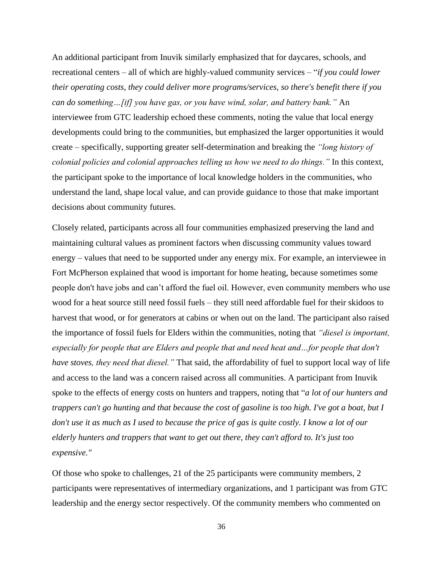An additional participant from Inuvik similarly emphasized that for daycares, schools, and recreational centers – all of which are highly-valued community services – "*if you could lower their operating costs, they could deliver more programs/services, so there's benefit there if you can do something…[if] you have gas, or you have wind, solar, and battery bank."* An interviewee from GTC leadership echoed these comments, noting the value that local energy developments could bring to the communities, but emphasized the larger opportunities it would create – specifically, supporting greater self-determination and breaking the *"long history of colonial policies and colonial approaches telling us how we need to do things."* In this context, the participant spoke to the importance of local knowledge holders in the communities, who understand the land, shape local value, and can provide guidance to those that make important decisions about community futures.

Closely related, participants across all four communities emphasized preserving the land and maintaining cultural values as prominent factors when discussing community values toward energy – values that need to be supported under any energy mix. For example, an interviewee in Fort McPherson explained that wood is important for home heating, because sometimes some people don't have jobs and can't afford the fuel oil. However, even community members who use wood for a heat source still need fossil fuels – they still need affordable fuel for their skidoos to harvest that wood, or for generators at cabins or when out on the land. The participant also raised the importance of fossil fuels for Elders within the communities, noting that *"diesel is important, especially for people that are Elders and people that and need heat and…for people that don't have stoves, they need that diesel."* That said, the affordability of fuel to support local way of life and access to the land was a concern raised across all communities. A participant from Inuvik spoke to the effects of energy costs on hunters and trappers, noting that "*a lot of our hunters and trappers can't go hunting and that because the cost of gasoline is too high. I've got a boat, but I don't use it as much as I used to because the price of gas is quite costly. I know a lot of our elderly hunters and trappers that want to get out there, they can't afford to. It's just too expensive."*

Of those who spoke to challenges, 21 of the 25 participants were community members, 2 participants were representatives of intermediary organizations, and 1 participant was from GTC leadership and the energy sector respectively. Of the community members who commented on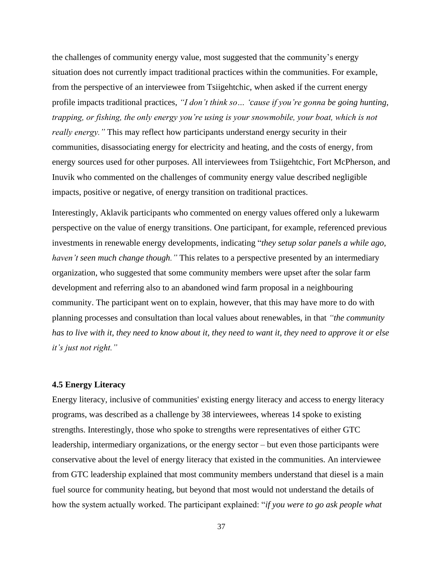the challenges of community energy value, most suggested that the community's energy situation does not currently impact traditional practices within the communities. For example, from the perspective of an interviewee from Tsiigehtchic, when asked if the current energy profile impacts traditional practices, *"I don't think so… 'cause if you're gonna be going hunting, trapping, or fishing, the only energy you're using is your snowmobile, your boat, which is not really energy."* This may reflect how participants understand energy security in their communities, disassociating energy for electricity and heating, and the costs of energy, from energy sources used for other purposes. All interviewees from Tsiigehtchic, Fort McPherson, and Inuvik who commented on the challenges of community energy value described negligible impacts, positive or negative, of energy transition on traditional practices.

Interestingly, Aklavik participants who commented on energy values offered only a lukewarm perspective on the value of energy transitions. One participant, for example, referenced previous investments in renewable energy developments, indicating "*they setup solar panels a while ago, haven't seen much change though."* This relates to a perspective presented by an intermediary organization, who suggested that some community members were upset after the solar farm development and referring also to an abandoned wind farm proposal in a neighbouring community. The participant went on to explain, however, that this may have more to do with planning processes and consultation than local values about renewables, in that *"the community has to live with it, they need to know about it, they need to want it, they need to approve it or else it's just not right."*

#### **4.5 Energy Literacy**

Energy literacy, inclusive of communities' existing energy literacy and access to energy literacy programs, was described as a challenge by 38 interviewees, whereas 14 spoke to existing strengths. Interestingly, those who spoke to strengths were representatives of either GTC leadership, intermediary organizations, or the energy sector – but even those participants were conservative about the level of energy literacy that existed in the communities. An interviewee from GTC leadership explained that most community members understand that diesel is a main fuel source for community heating, but beyond that most would not understand the details of how the system actually worked. The participant explained: "*if you were to go ask people what*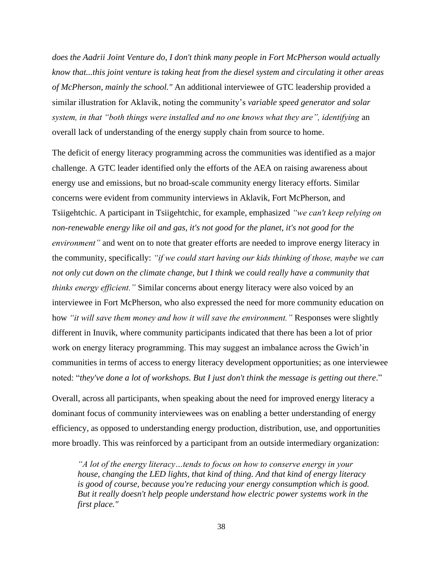*does the Aadrii Joint Venture do, I don't think many people in Fort McPherson would actually know that...this joint venture is taking heat from the diesel system and circulating it other areas of McPherson, mainly the school."* An additional interviewee of GTC leadership provided a similar illustration for Aklavik, noting the community's *variable speed generator and solar system, in that "both things were installed and no one knows what they are", identifying* an overall lack of understanding of the energy supply chain from source to home.

The deficit of energy literacy programming across the communities was identified as a major challenge. A GTC leader identified only the efforts of the AEA on raising awareness about energy use and emissions, but no broad-scale community energy literacy efforts. Similar concerns were evident from community interviews in Aklavik, Fort McPherson, and Tsiigehtchic. A participant in Tsiigehtchic, for example, emphasized *"we can't keep relying on non-renewable energy like oil and gas, it's not good for the planet, it's not good for the environment*" and went on to note that greater efforts are needed to improve energy literacy in the community, specifically: *"if we could start having our kids thinking of those, maybe we can not only cut down on the climate change, but I think we could really have a community that thinks energy efficient."* Similar concerns about energy literacy were also voiced by an interviewee in Fort McPherson, who also expressed the need for more community education on how *"it will save them money and how it will save the environment."* Responses were slightly different in Inuvik, where community participants indicated that there has been a lot of prior work on energy literacy programming. This may suggest an imbalance across the Gwich'in communities in terms of access to energy literacy development opportunities; as one interviewee noted: "*they've done a lot of workshops. But I just don't think the message is getting out there*."

Overall, across all participants, when speaking about the need for improved energy literacy a dominant focus of community interviewees was on enabling a better understanding of energy efficiency*,* as opposed to understanding energy production, distribution, use, and opportunities more broadly. This was reinforced by a participant from an outside intermediary organization:

*"A lot of the energy literacy…tends to focus on how to conserve energy in your house, changing the LED lights, that kind of thing. And that kind of energy literacy is good of course, because you're reducing your energy consumption which is good. But it really doesn't help people understand how electric power systems work in the first place."*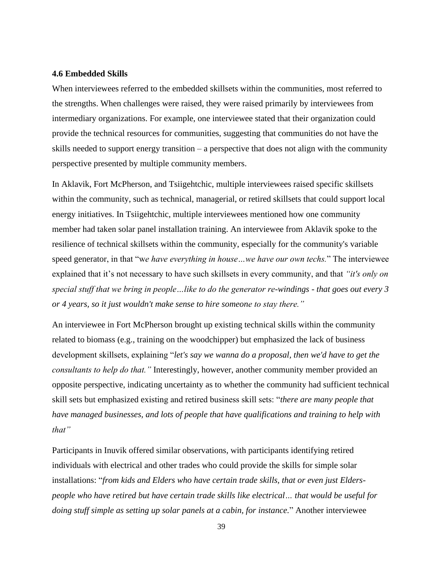### **4.6 Embedded Skills**

When interviewees referred to the embedded skillsets within the communities, most referred to the strengths. When challenges were raised, they were raised primarily by interviewees from intermediary organizations. For example, one interviewee stated that their organization could provide the technical resources for communities, suggesting that communities do not have the skills needed to support energy transition – a perspective that does not align with the community perspective presented by multiple community members.

In Aklavik, Fort McPherson, and Tsiigehtchic, multiple interviewees raised specific skillsets within the community, such as technical, managerial, or retired skillsets that could support local energy initiatives. In Tsiigehtchic, multiple interviewees mentioned how one community member had taken solar panel installation training. An interviewee from Aklavik spoke to the resilience of technical skillsets within the community, especially for the community's variable speed generator, in that "w*e have everything in house…we have our own techs.*" The interviewee explained that it's not necessary to have such skillsets in every community, and that *"it's only on special stuff that we bring in people…like to do the generator re-windings - that goes out every 3 or 4 years, so it just wouldn't make sense to hire someone to stay there."*

An interviewee in Fort McPherson brought up existing technical skills within the community related to biomass (e.g., training on the woodchipper) but emphasized the lack of business development skillsets, explaining "*let's say we wanna do a proposal, then we'd have to get the consultants to help do that."* Interestingly, however, another community member provided an opposite perspective, indicating uncertainty as to whether the community had sufficient technical skill sets but emphasized existing and retired business skill sets: "*there are many people that have managed businesses, and lots of people that have qualifications and training to help with that"* 

Participants in Inuvik offered similar observations, with participants identifying retired individuals with electrical and other trades who could provide the skills for simple solar installations: "*from kids and Elders who have certain trade skills, that or even just Elderspeople who have retired but have certain trade skills like electrical… that would be useful for doing stuff simple as setting up solar panels at a cabin, for instance.*" Another interviewee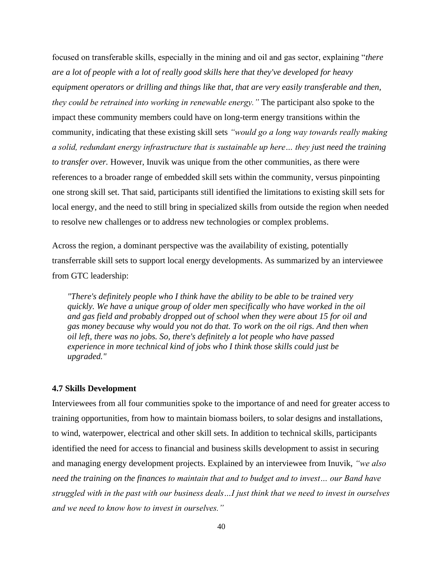focused on transferable skills, especially in the mining and oil and gas sector, explaining "*there are a lot of people with a lot of really good skills here that they've developed for heavy equipment operators or drilling and things like that, that are very easily transferable and then, they could be retrained into working in renewable energy."* The participant also spoke to the impact these community members could have on long-term energy transitions within the community, indicating that these existing skill sets *"would go a long way towards really making a solid, redundant energy infrastructure that is sustainable up here… they just need the training to transfer over.* However, Inuvik was unique from the other communities, as there were references to a broader range of embedded skill sets within the community, versus pinpointing one strong skill set. That said, participants still identified the limitations to existing skill sets for local energy, and the need to still bring in specialized skills from outside the region when needed to resolve new challenges or to address new technologies or complex problems.

Across the region, a dominant perspective was the availability of existing, potentially transferrable skill sets to support local energy developments. As summarized by an interviewee from GTC leadership:

*"There's definitely people who I think have the ability to be able to be trained very quickly. We have a unique group of older men specifically who have worked in the oil and gas field and probably dropped out of school when they were about 15 for oil and gas money because why would you not do that. To work on the oil rigs. And then when oil left, there was no jobs. So, there's definitely a lot people who have passed experience in more technical kind of jobs who I think those skills could just be upgraded."*

### **4.7 Skills Development**

Interviewees from all four communities spoke to the importance of and need for greater access to training opportunities, from how to maintain biomass boilers, to solar designs and installations, to wind, waterpower, electrical and other skill sets. In addition to technical skills, participants identified the need for access to financial and business skills development to assist in securing and managing energy development projects. Explained by an interviewee from Inuvik, *"we also need the training on the finances to maintain that and to budget and to invest… our Band have struggled with in the past with our business deals…I just think that we need to invest in ourselves and we need to know how to invest in ourselves."*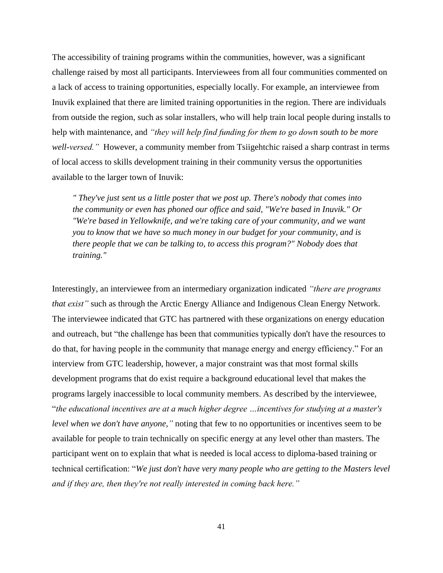The accessibility of training programs within the communities, however, was a significant challenge raised by most all participants. Interviewees from all four communities commented on a lack of access to training opportunities, especially locally. For example, an interviewee from Inuvik explained that there are limited training opportunities in the region. There are individuals from outside the region, such as solar installers, who will help train local people during installs to help with maintenance, and *"they will help find funding for them to go down south to be more well-versed."* However, a community member from Tsiigehtchic raised a sharp contrast in terms of local access to skills development training in their community versus the opportunities available to the larger town of Inuvik:

*" They've just sent us a little poster that we post up. There's nobody that comes into the community or even has phoned our office and said, "We're based in Inuvik." Or "We're based in Yellowknife, and we're taking care of your community, and we want you to know that we have so much money in our budget for your community, and is there people that we can be talking to, to access this program?" Nobody does that training."*

Interestingly, an interviewee from an intermediary organization indicated *"there are programs that exist*" such as through the Arctic Energy Alliance and Indigenous Clean Energy Network. The interviewee indicated that GTC has partnered with these organizations on energy education and outreach, but "the challenge has been that communities typically don't have the resources to do that, for having people in the community that manage energy and energy efficiency." For an interview from GTC leadership, however, a major constraint was that most formal skills development programs that do exist require a background educational level that makes the programs largely inaccessible to local community members. As described by the interviewee, "*the educational incentives are at a much higher degree …incentives for studying at a master's level when we don't have anyone,"* noting that few to no opportunities or incentives seem to be available for people to train technically on specific energy at any level other than masters. The participant went on to explain that what is needed is local access to diploma-based training or technical certification: "*We just don't have very many people who are getting to the Masters level and if they are, then they're not really interested in coming back here."*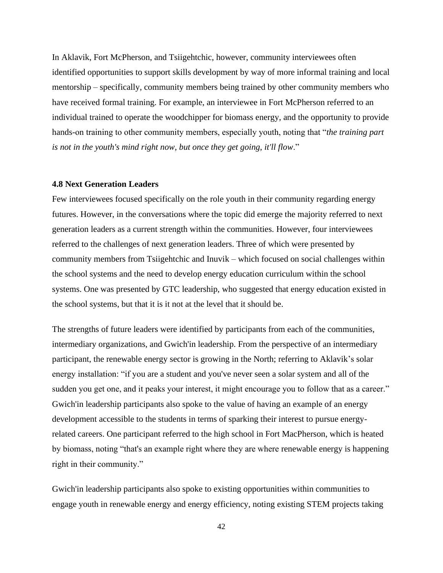In Aklavik, Fort McPherson, and Tsiigehtchic, however, community interviewees often identified opportunities to support skills development by way of more informal training and local mentorship – specifically, community members being trained by other community members who have received formal training. For example, an interviewee in Fort McPherson referred to an individual trained to operate the woodchipper for biomass energy, and the opportunity to provide hands-on training to other community members, especially youth, noting that "*the training part is not in the youth's mind right now, but once they get going, it'll flow*."

### **4.8 Next Generation Leaders**

Few interviewees focused specifically on the role youth in their community regarding energy futures. However, in the conversations where the topic did emerge the majority referred to next generation leaders as a current strength within the communities. However, four interviewees referred to the challenges of next generation leaders. Three of which were presented by community members from Tsiigehtchic and Inuvik – which focused on social challenges within the school systems and the need to develop energy education curriculum within the school systems. One was presented by GTC leadership, who suggested that energy education existed in the school systems, but that it is it not at the level that it should be.

The strengths of future leaders were identified by participants from each of the communities, intermediary organizations, and Gwich'in leadership. From the perspective of an intermediary participant, the renewable energy sector is growing in the North; referring to Aklavik's solar energy installation: "if you are a student and you've never seen a solar system and all of the sudden you get one, and it peaks your interest, it might encourage you to follow that as a career." Gwich'in leadership participants also spoke to the value of having an example of an energy development accessible to the students in terms of sparking their interest to pursue energyrelated careers. One participant referred to the high school in Fort MacPherson, which is heated by biomass, noting "that's an example right where they are where renewable energy is happening right in their community."

Gwich'in leadership participants also spoke to existing opportunities within communities to engage youth in renewable energy and energy efficiency, noting existing STEM projects taking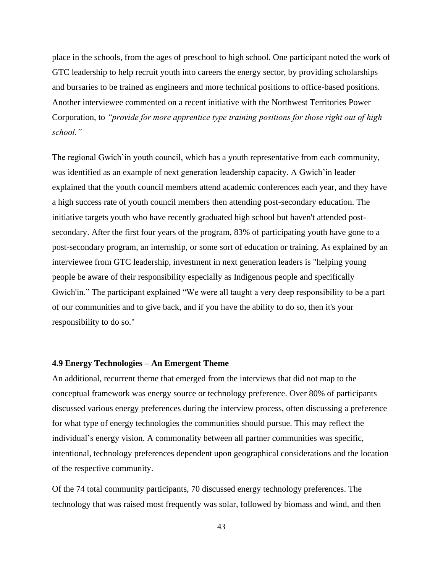place in the schools, from the ages of preschool to high school. One participant noted the work of GTC leadership to help recruit youth into careers the energy sector, by providing scholarships and bursaries to be trained as engineers and more technical positions to office-based positions. Another interviewee commented on a recent initiative with the Northwest Territories Power Corporation, to *"provide for more apprentice type training positions for those right out of high school."*

The regional Gwich'in youth council, which has a youth representative from each community, was identified as an example of next generation leadership capacity. A Gwich'in leader explained that the youth council members attend academic conferences each year, and they have a high success rate of youth council members then attending post-secondary education. The initiative targets youth who have recently graduated high school but haven't attended postsecondary. After the first four years of the program, 83% of participating youth have gone to a post-secondary program, an internship, or some sort of education or training. As explained by an interviewee from GTC leadership, investment in next generation leaders is "helping young people be aware of their responsibility especially as Indigenous people and specifically Gwich'in." The participant explained "We were all taught a very deep responsibility to be a part of our communities and to give back, and if you have the ability to do so, then it's your responsibility to do so."

### **4.9 Energy Technologies – An Emergent Theme**

An additional, recurrent theme that emerged from the interviews that did not map to the conceptual framework was energy source or technology preference. Over 80% of participants discussed various energy preferences during the interview process, often discussing a preference for what type of energy technologies the communities should pursue. This may reflect the individual's energy vision. A commonality between all partner communities was specific, intentional, technology preferences dependent upon geographical considerations and the location of the respective community.

Of the 74 total community participants, 70 discussed energy technology preferences. The technology that was raised most frequently was solar, followed by biomass and wind, and then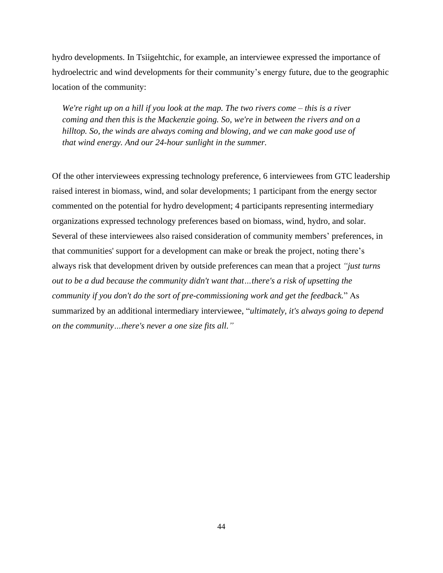hydro developments. In Tsiigehtchic, for example, an interviewee expressed the importance of hydroelectric and wind developments for their community's energy future, due to the geographic location of the community:

*We're right up on a hill if you look at the map. The two rivers come – this is a river coming and then this is the Mackenzie going. So, we're in between the rivers and on a hilltop. So, the winds are always coming and blowing, and we can make good use of that wind energy. And our 24-hour sunlight in the summer.*

Of the other interviewees expressing technology preference, 6 interviewees from GTC leadership raised interest in biomass, wind, and solar developments; 1 participant from the energy sector commented on the potential for hydro development; 4 participants representing intermediary organizations expressed technology preferences based on biomass, wind, hydro, and solar. Several of these interviewees also raised consideration of community members' preferences, in that communities' support for a development can make or break the project, noting there's always risk that development driven by outside preferences can mean that a project *"just turns out to be a dud because the community didn't want that…there's a risk of upsetting the community if you don't do the sort of pre-commissioning work and get the feedback.*" As summarized by an additional intermediary interviewee, "*ultimately, it's always going to depend on the community…there's never a one size fits all."*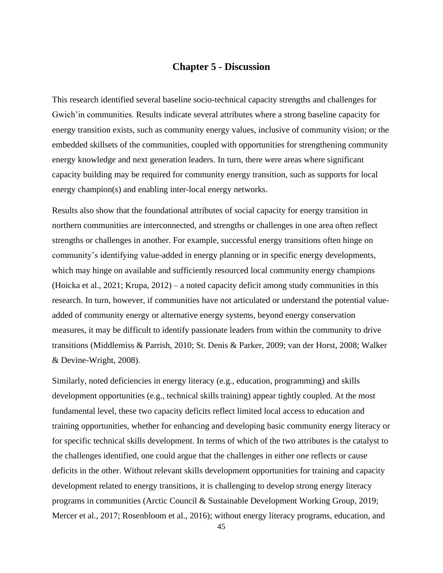# **Chapter 5 - Discussion**

This research identified several baseline socio-technical capacity strengths and challenges for Gwich'in communities. Results indicate several attributes where a strong baseline capacity for energy transition exists, such as community energy values, inclusive of community vision; or the embedded skillsets of the communities, coupled with opportunities for strengthening community energy knowledge and next generation leaders. In turn, there were areas where significant capacity building may be required for community energy transition, such as supports for local energy champion(s) and enabling inter-local energy networks.

Results also show that the foundational attributes of social capacity for energy transition in northern communities are interconnected, and strengths or challenges in one area often reflect strengths or challenges in another. For example, successful energy transitions often hinge on community's identifying value-added in energy planning or in specific energy developments, which may hinge on available and sufficiently resourced local community energy champions (Hoicka et al., 2021; Krupa, 2012) – a noted capacity deficit among study communities in this research. In turn, however, if communities have not articulated or understand the potential valueadded of community energy or alternative energy systems, beyond energy conservation measures, it may be difficult to identify passionate leaders from within the community to drive transitions (Middlemiss & Parrish, 2010; St. Denis & Parker, 2009; van der Horst, 2008; Walker & Devine-Wright, 2008).

Similarly, noted deficiencies in energy literacy (e.g., education, programming) and skills development opportunities (e.g., technical skills training) appear tightly coupled. At the most fundamental level, these two capacity deficits reflect limited local access to education and training opportunities, whether for enhancing and developing basic community energy literacy or for specific technical skills development. In terms of which of the two attributes is the catalyst to the challenges identified, one could argue that the challenges in either one reflects or cause deficits in the other. Without relevant skills development opportunities for training and capacity development related to energy transitions, it is challenging to develop strong energy literacy programs in communities (Arctic Council & Sustainable Development Working Group, 2019; Mercer et al., 2017; Rosenbloom et al., 2016); without energy literacy programs, education, and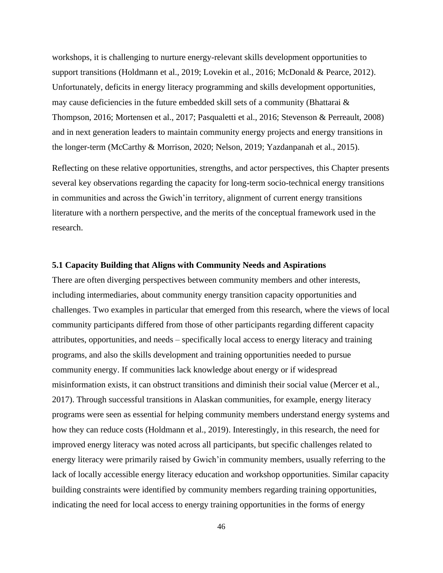workshops, it is challenging to nurture energy-relevant skills development opportunities to support transitions (Holdmann et al., 2019; Lovekin et al., 2016; McDonald & Pearce, 2012). Unfortunately, deficits in energy literacy programming and skills development opportunities, may cause deficiencies in the future embedded skill sets of a community (Bhattarai  $\&$ Thompson, 2016; Mortensen et al., 2017; Pasqualetti et al., 2016; Stevenson & Perreault, 2008) and in next generation leaders to maintain community energy projects and energy transitions in the longer-term (McCarthy & Morrison, 2020; Nelson, 2019; Yazdanpanah et al., 2015).

Reflecting on these relative opportunities, strengths, and actor perspectives, this Chapter presents several key observations regarding the capacity for long-term socio-technical energy transitions in communities and across the Gwich'in territory, alignment of current energy transitions literature with a northern perspective, and the merits of the conceptual framework used in the research.

## **5.1 Capacity Building that Aligns with Community Needs and Aspirations**

There are often diverging perspectives between community members and other interests, including intermediaries, about community energy transition capacity opportunities and challenges. Two examples in particular that emerged from this research, where the views of local community participants differed from those of other participants regarding different capacity attributes, opportunities, and needs – specifically local access to energy literacy and training programs, and also the skills development and training opportunities needed to pursue community energy. If communities lack knowledge about energy or if widespread misinformation exists, it can obstruct transitions and diminish their social value (Mercer et al., 2017). Through successful transitions in Alaskan communities, for example, energy literacy programs were seen as essential for helping community members understand energy systems and how they can reduce costs (Holdmann et al., 2019). Interestingly, in this research, the need for improved energy literacy was noted across all participants, but specific challenges related to energy literacy were primarily raised by Gwich'in community members, usually referring to the lack of locally accessible energy literacy education and workshop opportunities. Similar capacity building constraints were identified by community members regarding training opportunities, indicating the need for local access to energy training opportunities in the forms of energy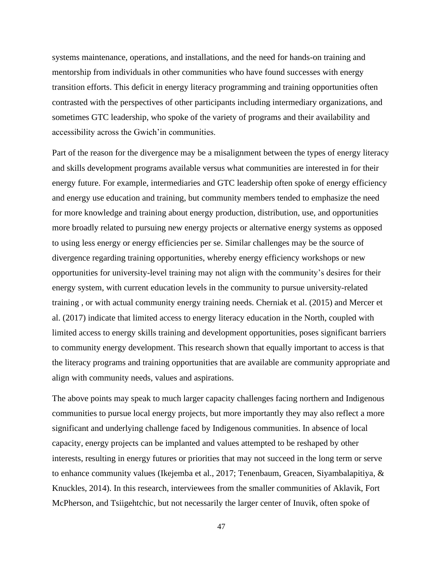systems maintenance, operations, and installations, and the need for hands-on training and mentorship from individuals in other communities who have found successes with energy transition efforts. This deficit in energy literacy programming and training opportunities often contrasted with the perspectives of other participants including intermediary organizations, and sometimes GTC leadership, who spoke of the variety of programs and their availability and accessibility across the Gwich'in communities.

Part of the reason for the divergence may be a misalignment between the types of energy literacy and skills development programs available versus what communities are interested in for their energy future. For example, intermediaries and GTC leadership often spoke of energy efficiency and energy use education and training, but community members tended to emphasize the need for more knowledge and training about energy production, distribution, use, and opportunities more broadly related to pursuing new energy projects or alternative energy systems as opposed to using less energy or energy efficiencies per se. Similar challenges may be the source of divergence regarding training opportunities, whereby energy efficiency workshops or new opportunities for university-level training may not align with the community's desires for their energy system, with current education levels in the community to pursue university-related training , or with actual community energy training needs. Cherniak et al. (2015) and Mercer et al. (2017) indicate that limited access to energy literacy education in the North, coupled with limited access to energy skills training and development opportunities, poses significant barriers to community energy development. This research shown that equally important to access is that the literacy programs and training opportunities that are available are community appropriate and align with community needs, values and aspirations.

The above points may speak to much larger capacity challenges facing northern and Indigenous communities to pursue local energy projects, but more importantly they may also reflect a more significant and underlying challenge faced by Indigenous communities. In absence of local capacity, energy projects can be implanted and values attempted to be reshaped by other interests, resulting in energy futures or priorities that may not succeed in the long term or serve to enhance community values (Ikejemba et al., 2017; Tenenbaum, Greacen, Siyambalapitiya, & Knuckles, 2014). In this research, interviewees from the smaller communities of Aklavik, Fort McPherson, and Tsiigehtchic, but not necessarily the larger center of Inuvik, often spoke of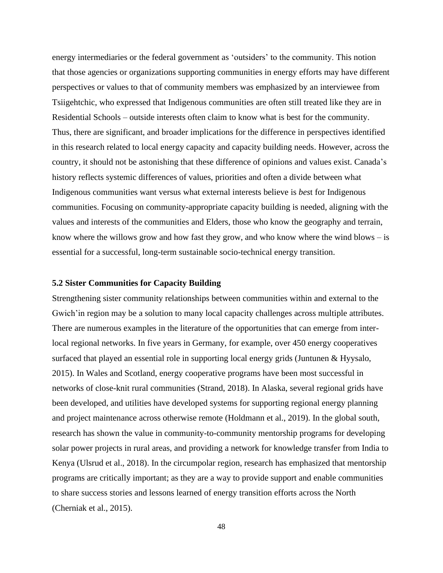energy intermediaries or the federal government as 'outsiders' to the community. This notion that those agencies or organizations supporting communities in energy efforts may have different perspectives or values to that of community members was emphasized by an interviewee from Tsiigehtchic, who expressed that Indigenous communities are often still treated like they are in Residential Schools – outside interests often claim to know what is best for the community. Thus, there are significant, and broader implications for the difference in perspectives identified in this research related to local energy capacity and capacity building needs. However, across the country, it should not be astonishing that these difference of opinions and values exist. Canada's history reflects systemic differences of values, priorities and often a divide between what Indigenous communities want versus what external interests believe is *bes*t for Indigenous communities. Focusing on community-appropriate capacity building is needed, aligning with the values and interests of the communities and Elders, those who know the geography and terrain, know where the willows grow and how fast they grow, and who know where the wind blows  $-$  is essential for a successful, long-term sustainable socio-technical energy transition.

#### **5.2 Sister Communities for Capacity Building**

Strengthening sister community relationships between communities within and external to the Gwich' in region may be a solution to many local capacity challenges across multiple attributes. There are numerous examples in the literature of the opportunities that can emerge from interlocal regional networks. In five years in Germany, for example, over 450 energy cooperatives surfaced that played an essential role in supporting local energy grids (Juntunen & Hyysalo, 2015). In Wales and Scotland, energy cooperative programs have been most successful in networks of close-knit rural communities (Strand, 2018). In Alaska, several regional grids have been developed, and utilities have developed systems for supporting regional energy planning and project maintenance across otherwise remote (Holdmann et al., 2019). In the global south, research has shown the value in community-to-community mentorship programs for developing solar power projects in rural areas, and providing a network for knowledge transfer from India to Kenya (Ulsrud et al., 2018). In the circumpolar region, research has emphasized that mentorship programs are critically important; as they are a way to provide support and enable communities to share success stories and lessons learned of energy transition efforts across the North (Cherniak et al., 2015).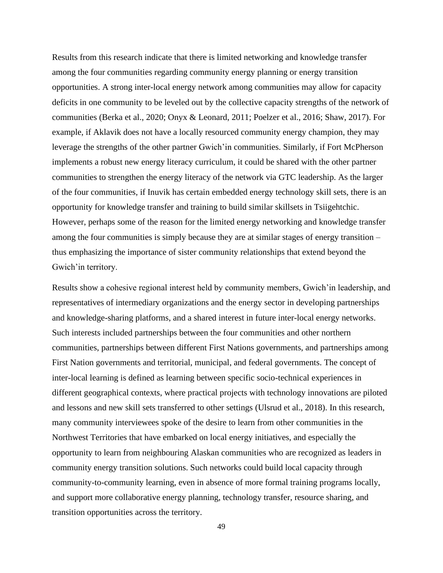Results from this research indicate that there is limited networking and knowledge transfer among the four communities regarding community energy planning or energy transition opportunities. A strong inter-local energy network among communities may allow for capacity deficits in one community to be leveled out by the collective capacity strengths of the network of communities (Berka et al., 2020; Onyx & Leonard, 2011; Poelzer et al., 2016; Shaw, 2017). For example, if Aklavik does not have a locally resourced community energy champion, they may leverage the strengths of the other partner Gwich'in communities. Similarly, if Fort McPherson implements a robust new energy literacy curriculum, it could be shared with the other partner communities to strengthen the energy literacy of the network via GTC leadership. As the larger of the four communities, if Inuvik has certain embedded energy technology skill sets, there is an opportunity for knowledge transfer and training to build similar skillsets in Tsiigehtchic. However, perhaps some of the reason for the limited energy networking and knowledge transfer among the four communities is simply because they are at similar stages of energy transition – thus emphasizing the importance of sister community relationships that extend beyond the Gwich'in territory.

Results show a cohesive regional interest held by community members, Gwich'in leadership, and representatives of intermediary organizations and the energy sector in developing partnerships and knowledge-sharing platforms, and a shared interest in future inter-local energy networks. Such interests included partnerships between the four communities and other northern communities, partnerships between different First Nations governments, and partnerships among First Nation governments and territorial, municipal, and federal governments. The concept of inter-local learning is defined as learning between specific socio-technical experiences in different geographical contexts, where practical projects with technology innovations are piloted and lessons and new skill sets transferred to other settings (Ulsrud et al., 2018). In this research, many community interviewees spoke of the desire to learn from other communities in the Northwest Territories that have embarked on local energy initiatives, and especially the opportunity to learn from neighbouring Alaskan communities who are recognized as leaders in community energy transition solutions. Such networks could build local capacity through community-to-community learning, even in absence of more formal training programs locally, and support more collaborative energy planning, technology transfer, resource sharing, and transition opportunities across the territory.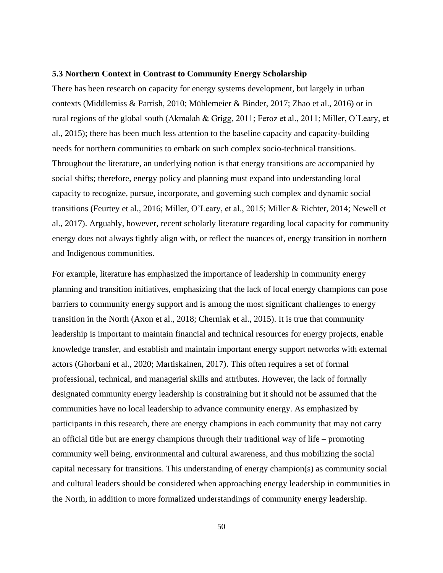#### **5.3 Northern Context in Contrast to Community Energy Scholarship**

There has been research on capacity for energy systems development, but largely in urban contexts (Middlemiss & Parrish, 2010; Mühlemeier & Binder, 2017; Zhao et al., 2016) or in rural regions of the global south (Akmalah & Grigg, 2011; Feroz et al., 2011; Miller, O'Leary, et al., 2015); there has been much less attention to the baseline capacity and capacity-building needs for northern communities to embark on such complex socio-technical transitions. Throughout the literature, an underlying notion is that energy transitions are accompanied by social shifts; therefore, energy policy and planning must expand into understanding local capacity to recognize, pursue, incorporate, and governing such complex and dynamic social transitions (Feurtey et al., 2016; Miller, O'Leary, et al., 2015; Miller & Richter, 2014; Newell et al., 2017). Arguably, however, recent scholarly literature regarding local capacity for community energy does not always tightly align with, or reflect the nuances of, energy transition in northern and Indigenous communities.

For example, literature has emphasized the importance of leadership in community energy planning and transition initiatives, emphasizing that the lack of local energy champions can pose barriers to community energy support and is among the most significant challenges to energy transition in the North (Axon et al., 2018; Cherniak et al., 2015). It is true that community leadership is important to maintain financial and technical resources for energy projects, enable knowledge transfer, and establish and maintain important energy support networks with external actors (Ghorbani et al., 2020; Martiskainen, 2017). This often requires a set of formal professional, technical, and managerial skills and attributes. However, the lack of formally designated community energy leadership is constraining but it should not be assumed that the communities have no local leadership to advance community energy. As emphasized by participants in this research, there are energy champions in each community that may not carry an official title but are energy champions through their traditional way of life – promoting community well being, environmental and cultural awareness, and thus mobilizing the social capital necessary for transitions. This understanding of energy champion(s) as community social and cultural leaders should be considered when approaching energy leadership in communities in the North, in addition to more formalized understandings of community energy leadership.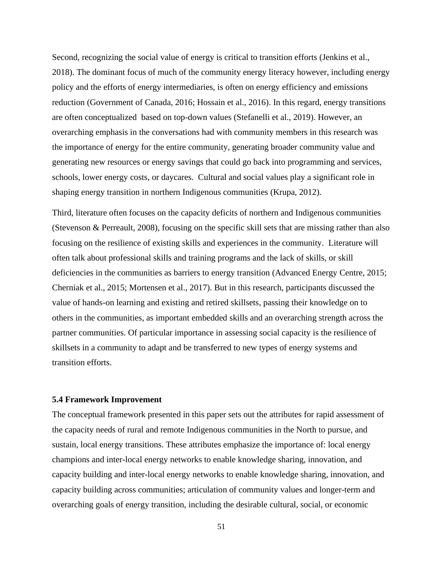Second, recognizing the social value of energy is critical to transition efforts (Jenkins et al., 2018). The dominant focus of much of the community energy literacy however, including energy policy and the efforts of energy intermediaries, is often on energy efficiency and emissions reduction (Government of Canada, 2016; Hossain et al., 2016). In this regard, energy transitions are often conceptualized based on top-down values (Stefanelli et al., 2019). However, an overarching emphasis in the conversations had with community members in this research was the importance of energy for the entire community, generating broader community value and generating new resources or energy savings that could go back into programming and services, schools, lower energy costs, or daycares. Cultural and social values play a significant role in shaping energy transition in northern Indigenous communities (Krupa, 2012).

Third, literature often focuses on the capacity deficits of northern and Indigenous communities (Stevenson & Perreault, 2008), focusing on the specific skill sets that are missing rather than also focusing on the resilience of existing skills and experiences in the community. Literature will often talk about professional skills and training programs and the lack of skills, or skill deficiencies in the communities as barriers to energy transition (Advanced Energy Centre, 2015; Cherniak et al., 2015; Mortensen et al., 2017). But in this research, participants discussed the value of hands-on learning and existing and retired skillsets, passing their knowledge on to others in the communities, as important embedded skills and an overarching strength across the partner communities. Of particular importance in assessing social capacity is the resilience of skillsets in a community to adapt and be transferred to new types of energy systems and transition efforts.

### **5.4 Framework Improvement**

The conceptual framework presented in this paper sets out the attributes for rapid assessment of the capacity needs of rural and remote Indigenous communities in the North to pursue, and sustain, local energy transitions. These attributes emphasize the importance of: local energy champions and inter-local energy networks to enable knowledge sharing, innovation, and capacity building and inter-local energy networks to enable knowledge sharing, innovation, and capacity building across communities; articulation of community values and longer-term and overarching goals of energy transition, including the desirable cultural, social, or economic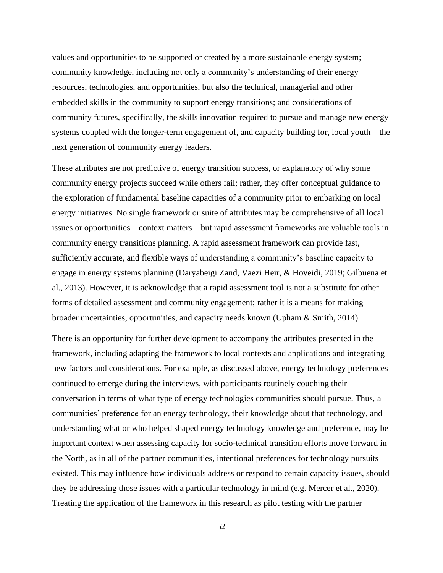values and opportunities to be supported or created by a more sustainable energy system; community knowledge, including not only a community's understanding of their energy resources, technologies, and opportunities, but also the technical, managerial and other embedded skills in the community to support energy transitions; and considerations of community futures, specifically, the skills innovation required to pursue and manage new energy systems coupled with the longer-term engagement of, and capacity building for, local youth – the next generation of community energy leaders.

These attributes are not predictive of energy transition success, or explanatory of why some community energy projects succeed while others fail; rather, they offer conceptual guidance to the exploration of fundamental baseline capacities of a community prior to embarking on local energy initiatives. No single framework or suite of attributes may be comprehensive of all local issues or opportunities—context matters – but rapid assessment frameworks are valuable tools in community energy transitions planning. A rapid assessment framework can provide fast, sufficiently accurate, and flexible ways of understanding a community's baseline capacity to engage in energy systems planning (Daryabeigi Zand, Vaezi Heir, & Hoveidi, 2019; Gilbuena et al., 2013). However, it is acknowledge that a rapid assessment tool is not a substitute for other forms of detailed assessment and community engagement; rather it is a means for making broader uncertainties, opportunities, and capacity needs known (Upham & Smith, 2014).

There is an opportunity for further development to accompany the attributes presented in the framework, including adapting the framework to local contexts and applications and integrating new factors and considerations. For example, as discussed above, energy technology preferences continued to emerge during the interviews, with participants routinely couching their conversation in terms of what type of energy technologies communities should pursue. Thus, a communities' preference for an energy technology, their knowledge about that technology, and understanding what or who helped shaped energy technology knowledge and preference, may be important context when assessing capacity for socio-technical transition efforts move forward in the North, as in all of the partner communities, intentional preferences for technology pursuits existed. This may influence how individuals address or respond to certain capacity issues, should they be addressing those issues with a particular technology in mind (e.g. Mercer et al., 2020). Treating the application of the framework in this research as pilot testing with the partner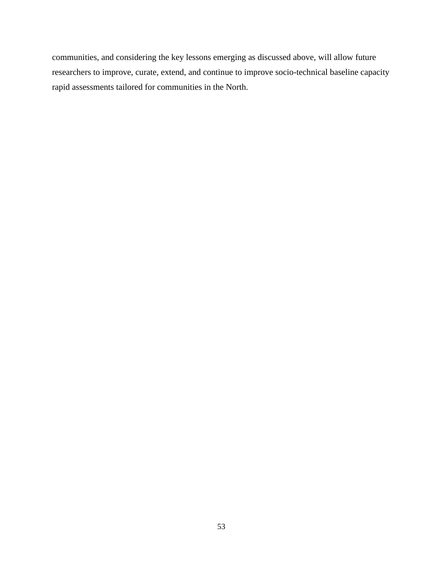communities, and considering the key lessons emerging as discussed above, will allow future researchers to improve, curate, extend, and continue to improve socio-technical baseline capacity rapid assessments tailored for communities in the North.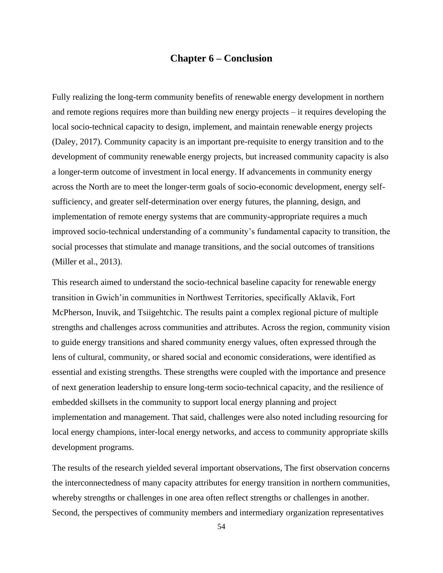# **Chapter 6 – Conclusion**

Fully realizing the long-term community benefits of renewable energy development in northern and remote regions requires more than building new energy projects – it requires developing the local socio-technical capacity to design, implement, and maintain renewable energy projects (Daley, 2017). Community capacity is an important pre-requisite to energy transition and to the development of community renewable energy projects, but increased community capacity is also a longer-term outcome of investment in local energy. If advancements in community energy across the North are to meet the longer-term goals of socio-economic development, energy selfsufficiency, and greater self-determination over energy futures, the planning, design, and implementation of remote energy systems that are community-appropriate requires a much improved socio-technical understanding of a community's fundamental capacity to transition, the social processes that stimulate and manage transitions, and the social outcomes of transitions (Miller et al., 2013).

This research aimed to understand the socio-technical baseline capacity for renewable energy transition in Gwich'in communities in Northwest Territories, specifically Aklavik, Fort McPherson, Inuvik, and Tsiigehtchic. The results paint a complex regional picture of multiple strengths and challenges across communities and attributes. Across the region, community vision to guide energy transitions and shared community energy values, often expressed through the lens of cultural, community, or shared social and economic considerations, were identified as essential and existing strengths. These strengths were coupled with the importance and presence of next generation leadership to ensure long-term socio-technical capacity, and the resilience of embedded skillsets in the community to support local energy planning and project implementation and management. That said, challenges were also noted including resourcing for local energy champions, inter-local energy networks, and access to community appropriate skills development programs.

The results of the research yielded several important observations, The first observation concerns the interconnectedness of many capacity attributes for energy transition in northern communities, whereby strengths or challenges in one area often reflect strengths or challenges in another. Second, the perspectives of community members and intermediary organization representatives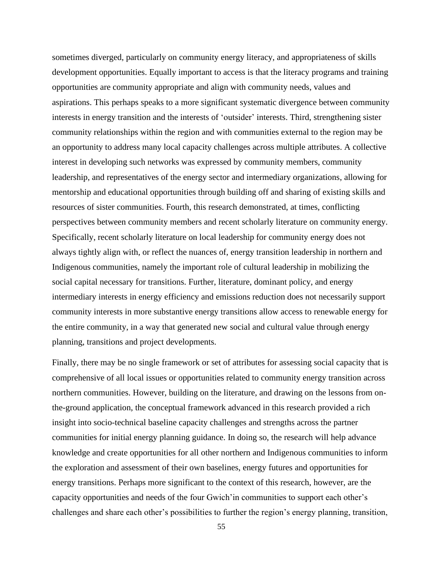sometimes diverged, particularly on community energy literacy, and appropriateness of skills development opportunities. Equally important to access is that the literacy programs and training opportunities are community appropriate and align with community needs, values and aspirations. This perhaps speaks to a more significant systematic divergence between community interests in energy transition and the interests of 'outsider' interests. Third, strengthening sister community relationships within the region and with communities external to the region may be an opportunity to address many local capacity challenges across multiple attributes. A collective interest in developing such networks was expressed by community members, community leadership, and representatives of the energy sector and intermediary organizations, allowing for mentorship and educational opportunities through building off and sharing of existing skills and resources of sister communities. Fourth, this research demonstrated, at times, conflicting perspectives between community members and recent scholarly literature on community energy. Specifically, recent scholarly literature on local leadership for community energy does not always tightly align with, or reflect the nuances of, energy transition leadership in northern and Indigenous communities, namely the important role of cultural leadership in mobilizing the social capital necessary for transitions. Further, literature, dominant policy, and energy intermediary interests in energy efficiency and emissions reduction does not necessarily support community interests in more substantive energy transitions allow access to renewable energy for the entire community, in a way that generated new social and cultural value through energy planning, transitions and project developments.

Finally, there may be no single framework or set of attributes for assessing social capacity that is comprehensive of all local issues or opportunities related to community energy transition across northern communities. However, building on the literature, and drawing on the lessons from onthe-ground application, the conceptual framework advanced in this research provided a rich insight into socio-technical baseline capacity challenges and strengths across the partner communities for initial energy planning guidance. In doing so, the research will help advance knowledge and create opportunities for all other northern and Indigenous communities to inform the exploration and assessment of their own baselines, energy futures and opportunities for energy transitions. Perhaps more significant to the context of this research, however, are the capacity opportunities and needs of the four Gwich'in communities to support each other's challenges and share each other's possibilities to further the region's energy planning, transition,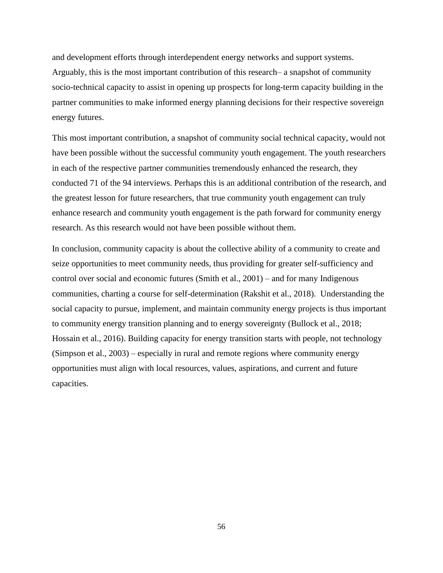and development efforts through interdependent energy networks and support systems. Arguably, this is the most important contribution of this research– a snapshot of community socio-technical capacity to assist in opening up prospects for long-term capacity building in the partner communities to make informed energy planning decisions for their respective sovereign energy futures.

This most important contribution, a snapshot of community social technical capacity, would not have been possible without the successful community youth engagement. The youth researchers in each of the respective partner communities tremendously enhanced the research, they conducted 71 of the 94 interviews. Perhaps this is an additional contribution of the research, and the greatest lesson for future researchers, that true community youth engagement can truly enhance research and community youth engagement is the path forward for community energy research. As this research would not have been possible without them.

In conclusion, community capacity is about the collective ability of a community to create and seize opportunities to meet community needs, thus providing for greater self-sufficiency and control over social and economic futures (Smith et al., 2001) – and for many Indigenous communities, charting a course for self-determination (Rakshit et al., 2018). Understanding the social capacity to pursue, implement, and maintain community energy projects is thus important to community energy transition planning and to energy sovereignty (Bullock et al., 2018; Hossain et al., 2016). Building capacity for energy transition starts with people, not technology (Simpson et al., 2003) – especially in rural and remote regions where community energy opportunities must align with local resources, values, aspirations, and current and future capacities.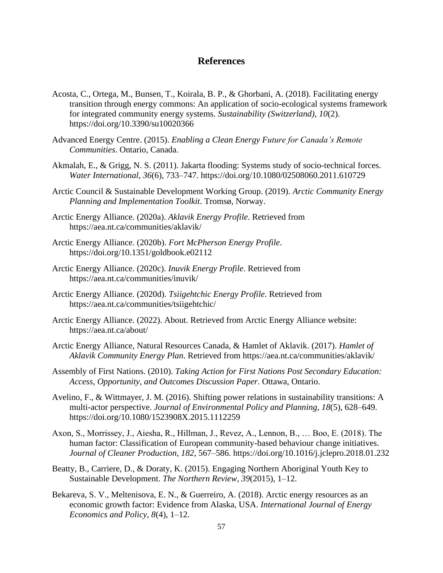# **References**

- Acosta, C., Ortega, M., Bunsen, T., Koirala, B. P., & Ghorbani, A. (2018). Facilitating energy transition through energy commons: An application of socio-ecological systems framework for integrated community energy systems. *Sustainability (Switzerland)*, *10*(2). https://doi.org/10.3390/su10020366
- Advanced Energy Centre. (2015). *Enabling a Clean Energy Future for Canada's Remote Communities*. Ontario, Canada.
- Akmalah, E., & Grigg, N. S. (2011). Jakarta flooding: Systems study of socio-technical forces. *Water International*, *36*(6), 733–747. https://doi.org/10.1080/02508060.2011.610729
- Arctic Council & Sustainable Development Working Group. (2019). *Arctic Community Energy Planning and Implementation Toolkit*. Tromsø, Norway.
- Arctic Energy Alliance. (2020a). *Aklavik Energy Profile*. Retrieved from https://aea.nt.ca/communities/aklavik/
- Arctic Energy Alliance. (2020b). *Fort McPherson Energy Profile*. https://doi.org/10.1351/goldbook.e02112
- Arctic Energy Alliance. (2020c). *Inuvik Energy Profile*. Retrieved from https://aea.nt.ca/communities/inuvik/
- Arctic Energy Alliance. (2020d). *Tsiigehtchic Energy Profile*. Retrieved from https://aea.nt.ca/communities/tsiigehtchic/
- Arctic Energy Alliance. (2022). About. Retrieved from Arctic Energy Alliance website: https://aea.nt.ca/about/
- Arctic Energy Alliance, Natural Resources Canada, & Hamlet of Aklavik. (2017). *Hamlet of Aklavik Community Energy Plan*. Retrieved from https://aea.nt.ca/communities/aklavik/
- Assembly of First Nations. (2010). *Taking Action for First Nations Post Secondary Education: Access, Opportunity, and Outcomes Discussion Paper*. Ottawa, Ontario.
- Avelino, F., & Wittmayer, J. M. (2016). Shifting power relations in sustainability transitions: A multi-actor perspective. *Journal of Environmental Policy and Planning*, *18*(5), 628–649. https://doi.org/10.1080/1523908X.2015.1112259
- Axon, S., Morrissey, J., Aiesha, R., Hillman, J., Revez, A., Lennon, B., … Boo, E. (2018). The human factor: Classification of European community-based behaviour change initiatives. *Journal of Cleaner Production*, *182*, 567–586. https://doi.org/10.1016/j.jclepro.2018.01.232
- Beatty, B., Carriere, D., & Doraty, K. (2015). Engaging Northern Aboriginal Youth Key to Sustainable Development. *The Northern Review*, *39*(2015), 1–12.
- Bekareva, S. V., Meltenisova, E. N., & Guerreiro, A. (2018). Arctic energy resources as an economic growth factor: Evidence from Alaska, USA. *International Journal of Energy Economics and Policy*, *8*(4), 1–12.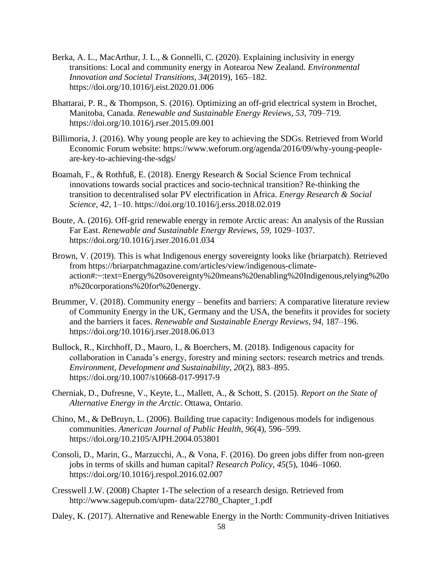- Berka, A. L., MacArthur, J. L., & Gonnelli, C. (2020). Explaining inclusivity in energy transitions: Local and community energy in Aotearoa New Zealand. *Environmental Innovation and Societal Transitions*, *34*(2019), 165–182. https://doi.org/10.1016/j.eist.2020.01.006
- Bhattarai, P. R., & Thompson, S. (2016). Optimizing an off-grid electrical system in Brochet, Manitoba, Canada. *Renewable and Sustainable Energy Reviews*, *53*, 709–719. https://doi.org/10.1016/j.rser.2015.09.001
- Billimoria, J. (2016). Why young people are key to achieving the SDGs. Retrieved from World Economic Forum website: https://www.weforum.org/agenda/2016/09/why-young-peopleare-key-to-achieving-the-sdgs/
- Boamah, F., & Rothfuß, E. (2018). Energy Research & Social Science From technical innovations towards social practices and socio-technical transition? Re-thinking the transition to decentralised solar PV electrification in Africa. *Energy Research & Social Science*, *42*, 1–10. https://doi.org/10.1016/j.erss.2018.02.019
- Boute, A. (2016). Off-grid renewable energy in remote Arctic areas: An analysis of the Russian Far East. *Renewable and Sustainable Energy Reviews*, *59*, 1029–1037. https://doi.org/10.1016/j.rser.2016.01.034
- Brown, V. (2019). This is what Indigenous energy sovereignty looks like (briarpatch). Retrieved from https://briarpatchmagazine.com/articles/view/indigenous-climateaction#:~:text=Energy%20sovereignty%20means%20enabling%20Indigenous,relying%20o n%20corporations%20for%20energy.
- Brummer, V. (2018). Community energy benefits and barriers: A comparative literature review of Community Energy in the UK, Germany and the USA, the benefits it provides for society and the barriers it faces. *Renewable and Sustainable Energy Reviews*, *94*, 187–196. https://doi.org/10.1016/j.rser.2018.06.013
- Bullock, R., Kirchhoff, D., Mauro, I., & Boerchers, M. (2018). Indigenous capacity for collaboration in Canada's energy, forestry and mining sectors: research metrics and trends. *Environment, Development and Sustainability*, *20*(2), 883–895. https://doi.org/10.1007/s10668-017-9917-9
- Cherniak, D., Dufresne, V., Keyte, L., Mallett, A., & Schott, S. (2015). *Report on the State of Alternative Energy in the Arctic*. Ottawa, Ontario.
- Chino, M., & DeBruyn, L. (2006). Building true capacity: Indigenous models for indigenous communities. *American Journal of Public Health*, *96*(4), 596–599. https://doi.org/10.2105/AJPH.2004.053801
- Consoli, D., Marin, G., Marzucchi, A., & Vona, F. (2016). Do green jobs differ from non-green jobs in terms of skills and human capital? *Research Policy*, *45*(5), 1046–1060. https://doi.org/10.1016/j.respol.2016.02.007
- Cresswell J.W. (2008) Chapter 1-The selection of a research design. Retrieved from http://www.sagepub.com/upm- data/22780\_Chapter\_1.pdf
- Daley, K. (2017). Alternative and Renewable Energy in the North: Community-driven Initiatives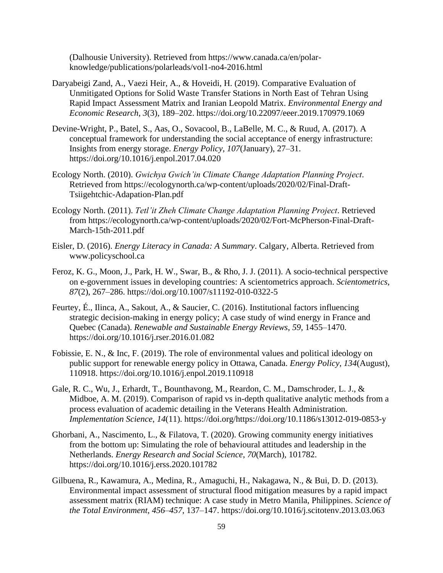(Dalhousie University). Retrieved from https://www.canada.ca/en/polarknowledge/publications/polarleads/vol1-no4-2016.html

- Daryabeigi Zand, A., Vaezi Heir, A., & Hoveidi, H. (2019). Comparative Evaluation of Unmitigated Options for Solid Waste Transfer Stations in North East of Tehran Using Rapid Impact Assessment Matrix and Iranian Leopold Matrix. *Environmental Energy and Economic Research*, *3*(3), 189–202. https://doi.org/10.22097/eeer.2019.170979.1069
- Devine-Wright, P., Batel, S., Aas, O., Sovacool, B., LaBelle, M. C., & Ruud, A. (2017). A conceptual framework for understanding the social acceptance of energy infrastructure: Insights from energy storage. *Energy Policy*, *107*(January), 27–31. https://doi.org/10.1016/j.enpol.2017.04.020
- Ecology North. (2010). *Gwichya Gwich'in Climate Change Adaptation Planning Project*. Retrieved from https://ecologynorth.ca/wp-content/uploads/2020/02/Final-Draft-Tsiigehtchic-Adapation-Plan.pdf
- Ecology North. (2011). *Tetl'it Zheh Climate Change Adaptation Planning Project*. Retrieved from https://ecologynorth.ca/wp-content/uploads/2020/02/Fort-McPherson-Final-Draft-March-15th-2011.pdf
- Eisler, D. (2016). *Energy Literacy in Canada: A Summary*. Calgary, Alberta. Retrieved from www.policyschool.ca
- Feroz, K. G., Moon, J., Park, H. W., Swar, B., & Rho, J. J. (2011). A socio-technical perspective on e-government issues in developing countries: A scientometrics approach. *Scientometrics*, *87*(2), 267–286. https://doi.org/10.1007/s11192-010-0322-5
- Feurtey, É., Ilinca, A., Sakout, A., & Saucier, C. (2016). Institutional factors influencing strategic decision-making in energy policy; A case study of wind energy in France and Quebec (Canada). *Renewable and Sustainable Energy Reviews*, *59*, 1455–1470. https://doi.org/10.1016/j.rser.2016.01.082
- Fobissie, E. N., & Inc, F. (2019). The role of environmental values and political ideology on public support for renewable energy policy in Ottawa, Canada. *Energy Policy*, *134*(August), 110918. https://doi.org/10.1016/j.enpol.2019.110918
- Gale, R. C., Wu, J., Erhardt, T., Bounthavong, M., Reardon, C. M., Damschroder, L. J., & Midboe, A. M. (2019). Comparison of rapid vs in-depth qualitative analytic methods from a process evaluation of academic detailing in the Veterans Health Administration. *Implementation Science*, *14*(11). https://doi.org/https://doi.org/10.1186/s13012-019-0853-y
- Ghorbani, A., Nascimento, L., & Filatova, T. (2020). Growing community energy initiatives from the bottom up: Simulating the role of behavioural attitudes and leadership in the Netherlands. *Energy Research and Social Science*, *70*(March), 101782. https://doi.org/10.1016/j.erss.2020.101782
- Gilbuena, R., Kawamura, A., Medina, R., Amaguchi, H., Nakagawa, N., & Bui, D. D. (2013). Environmental impact assessment of structural flood mitigation measures by a rapid impact assessment matrix (RIAM) technique: A case study in Metro Manila, Philippines. *Science of the Total Environment*, *456*–*457*, 137–147. https://doi.org/10.1016/j.scitotenv.2013.03.063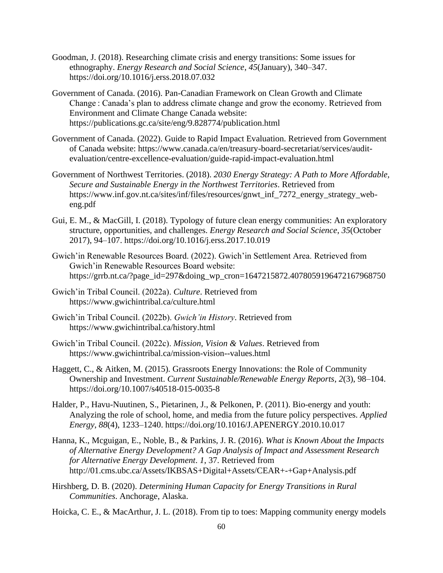- Goodman, J. (2018). Researching climate crisis and energy transitions: Some issues for ethnography. *Energy Research and Social Science*, *45*(January), 340–347. https://doi.org/10.1016/j.erss.2018.07.032
- Government of Canada. (2016). Pan-Canadian Framework on Clean Growth and Climate Change : Canada's plan to address climate change and grow the economy. Retrieved from Environment and Climate Change Canada website: https://publications.gc.ca/site/eng/9.828774/publication.html
- Government of Canada. (2022). Guide to Rapid Impact Evaluation. Retrieved from Government of Canada website: https://www.canada.ca/en/treasury-board-secretariat/services/auditevaluation/centre-excellence-evaluation/guide-rapid-impact-evaluation.html
- Government of Northwest Territories. (2018). *2030 Energy Strategy: A Path to More Affordable, Secure and Sustainable Energy in the Northwest Territories*. Retrieved from https://www.inf.gov.nt.ca/sites/inf/files/resources/gnwt\_inf\_7272\_energy\_strategy\_webeng.pdf
- Gui, E. M., & MacGill, I. (2018). Typology of future clean energy communities: An exploratory structure, opportunities, and challenges. *Energy Research and Social Science*, *35*(October 2017), 94–107. https://doi.org/10.1016/j.erss.2017.10.019
- Gwich'in Renewable Resources Board. (2022). Gwich'in Settlement Area. Retrieved from Gwich'in Renewable Resources Board website: https://grrb.nt.ca/?page\_id=297&doing\_wp\_cron=1647215872.4078059196472167968750
- Gwich'in Tribal Council. (2022a). *Culture*. Retrieved from https://www.gwichintribal.ca/culture.html
- Gwich'in Tribal Council. (2022b). *Gwich'in History*. Retrieved from https://www.gwichintribal.ca/history.html
- Gwich'in Tribal Council. (2022c). *Mission, Vision & Values*. Retrieved from https://www.gwichintribal.ca/mission-vision--values.html
- Haggett, C., & Aitken, M. (2015). Grassroots Energy Innovations: the Role of Community Ownership and Investment. *Current Sustainable/Renewable Energy Reports*, *2*(3), 98–104. https://doi.org/10.1007/s40518-015-0035-8
- Halder, P., Havu-Nuutinen, S., Pietarinen, J., & Pelkonen, P. (2011). Bio-energy and youth: Analyzing the role of school, home, and media from the future policy perspectives. *Applied Energy*, *88*(4), 1233–1240. https://doi.org/10.1016/J.APENERGY.2010.10.017
- Hanna, K., Mcguigan, E., Noble, B., & Parkins, J. R. (2016). *What is Known About the Impacts of Alternative Energy Development? A Gap Analysis of Impact and Assessment Research for Alternative Energy Development*. *1*, 37. Retrieved from http://01.cms.ubc.ca/Assets/IKBSAS+Digital+Assets/CEAR+-+Gap+Analysis.pdf
- Hirshberg, D. B. (2020). *Determining Human Capacity for Energy Transitions in Rural Communities*. Anchorage, Alaska.
- Hoicka, C. E., & MacArthur, J. L. (2018). From tip to toes: Mapping community energy models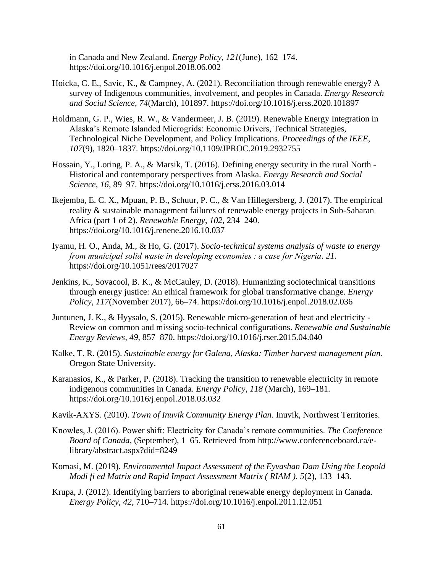in Canada and New Zealand. *Energy Policy*, *121*(June), 162–174. https://doi.org/10.1016/j.enpol.2018.06.002

- Hoicka, C. E., Savic, K., & Campney, A. (2021). Reconciliation through renewable energy? A survey of Indigenous communities, involvement, and peoples in Canada. *Energy Research and Social Science*, *74*(March), 101897. https://doi.org/10.1016/j.erss.2020.101897
- Holdmann, G. P., Wies, R. W., & Vandermeer, J. B. (2019). Renewable Energy Integration in Alaska's Remote Islanded Microgrids: Economic Drivers, Technical Strategies, Technological Niche Development, and Policy Implications. *Proceedings of the IEEE*, *107*(9), 1820–1837. https://doi.org/10.1109/JPROC.2019.2932755
- Hossain, Y., Loring, P. A., & Marsik, T. (2016). Defining energy security in the rural North Historical and contemporary perspectives from Alaska. *Energy Research and Social Science*, *16*, 89–97. https://doi.org/10.1016/j.erss.2016.03.014
- Ikejemba, E. C. X., Mpuan, P. B., Schuur, P. C., & Van Hillegersberg, J. (2017). The empirical reality & sustainable management failures of renewable energy projects in Sub-Saharan Africa (part 1 of 2). *Renewable Energy*, *102*, 234–240. https://doi.org/10.1016/j.renene.2016.10.037
- Iyamu, H. O., Anda, M., & Ho, G. (2017). *Socio-technical systems analysis of waste to energy from municipal solid waste in developing economies : a case for Nigeria*. *21*. https://doi.org/10.1051/rees/2017027
- Jenkins, K., Sovacool, B. K., & McCauley, D. (2018). Humanizing sociotechnical transitions through energy justice: An ethical framework for global transformative change. *Energy Policy*, *117*(November 2017), 66–74. https://doi.org/10.1016/j.enpol.2018.02.036
- Juntunen, J. K., & Hyysalo, S. (2015). Renewable micro-generation of heat and electricity Review on common and missing socio-technical configurations. *Renewable and Sustainable Energy Reviews*, *49*, 857–870. https://doi.org/10.1016/j.rser.2015.04.040
- Kalke, T. R. (2015). *Sustainable energy for Galena, Alaska: Timber harvest management plan*. Oregon State University.
- Karanasios, K., & Parker, P. (2018). Tracking the transition to renewable electricity in remote indigenous communities in Canada. *Energy Policy*, *118* (March), 169–181. https://doi.org/10.1016/j.enpol.2018.03.032
- Kavik-AXYS. (2010). *Town of Inuvik Community Energy Plan*. Inuvik, Northwest Territories.
- Knowles, J. (2016). Power shift: Electricity for Canada's remote communities. *The Conference Board of Canada*, (September), 1–65. Retrieved from http://www.conferenceboard.ca/elibrary/abstract.aspx?did=8249
- Komasi, M. (2019). *Environmental Impact Assessment of the Eyvashan Dam Using the Leopold Modi fi ed Matrix and Rapid Impact Assessment Matrix ( RIAM )*. *5*(2), 133–143.
- Krupa, J. (2012). Identifying barriers to aboriginal renewable energy deployment in Canada. *Energy Policy*, *42*, 710–714. https://doi.org/10.1016/j.enpol.2011.12.051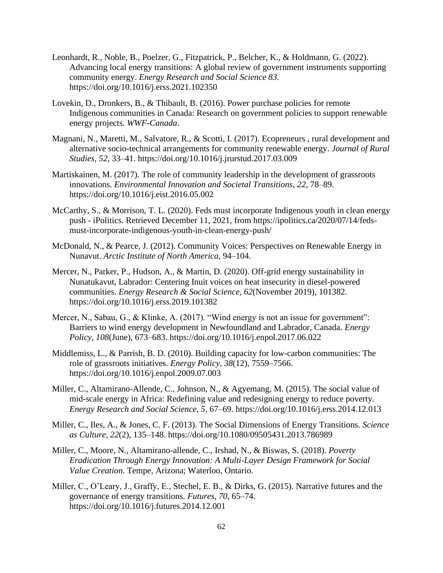- Leonhardt, R., Noble, B., Poelzer, G., Fitzpatrick, P., Belcher, K., & Holdmann, G. (2022). Advancing local energy transitions: A global review of government instruments supporting community energy. *Energy Research and Social Science 83.* https://doi.org/10.1016/j.erss.2021.102350
- Lovekin, D., Dronkers, B., & Thibault, B. (2016). Power purchase policies for remote Indigenous communities in Canada: Research on government policies to support renewable energy projects. *WWF-Canada*.
- Magnani, N., Maretti, M., Salvatore, R., & Scotti, I. (2017). Ecopreneurs , rural development and alternative socio-technical arrangements for community renewable energy. *Journal of Rural Studies*, *52*, 33–41. https://doi.org/10.1016/j.jrurstud.2017.03.009
- Martiskainen, M. (2017). The role of community leadership in the development of grassroots innovations. *Environmental Innovation and Societal Transitions*, *22*, 78–89. https://doi.org/10.1016/j.eist.2016.05.002
- McCarthy, S., & Morrison, T. L. (2020). Feds must incorporate Indigenous youth in clean energy push - iPolitics. Retrieved December 11, 2021, from https://ipolitics.ca/2020/07/14/fedsmust-incorporate-indigenous-youth-in-clean-energy-push/
- McDonald, N., & Pearce, J. (2012). Community Voices: Perspectives on Renewable Energy in Nunavut. *Arctic Institute of North America*, 94–104.
- Mercer, N., Parker, P., Hudson, A., & Martin, D. (2020). Off-grid energy sustainability in Nunatukavut, Labrador: Centering Inuit voices on heat insecurity in diesel-powered communities. *Energy Research & Social Science*, *62*(November 2019), 101382. https://doi.org/10.1016/j.erss.2019.101382
- Mercer, N., Sabau, G., & Klinke, A. (2017). "Wind energy is not an issue for government": Barriers to wind energy development in Newfoundland and Labrador, Canada. *Energy Policy*, *108*(June), 673–683. https://doi.org/10.1016/j.enpol.2017.06.022
- Middlemiss, L., & Parrish, B. D. (2010). Building capacity for low-carbon communities: The role of grassroots initiatives. *Energy Policy*, *38*(12), 7559–7566. https://doi.org/10.1016/j.enpol.2009.07.003
- Miller, C., Altamirano-Allende, C., Johnson, N., & Agyemang, M. (2015). The social value of mid-scale energy in Africa: Redefining value and redesigning energy to reduce poverty. *Energy Research and Social Science*, *5*, 67–69. https://doi.org/10.1016/j.erss.2014.12.013
- Miller, C., Iles, A., & Jones, C. F. (2013). The Social Dimensions of Energy Transitions. *Science as Culture*, *22*(2), 135–148. https://doi.org/10.1080/09505431.2013.786989
- Miller, C., Moore, N., Altamirano-allende, C., Irshad, N., & Biswas, S. (2018). *Poverty Eradication Through Energy Innovation: A Multi-Layer Design Framework for Social Value Creation*. Tempe, Arizona; Waterloo, Ontario.
- Miller, C., O'Leary, J., Graffy, E., Stechel, E. B., & Dirks, G. (2015). Narrative futures and the governance of energy transitions. *Futures*, *70*, 65–74. https://doi.org/10.1016/j.futures.2014.12.001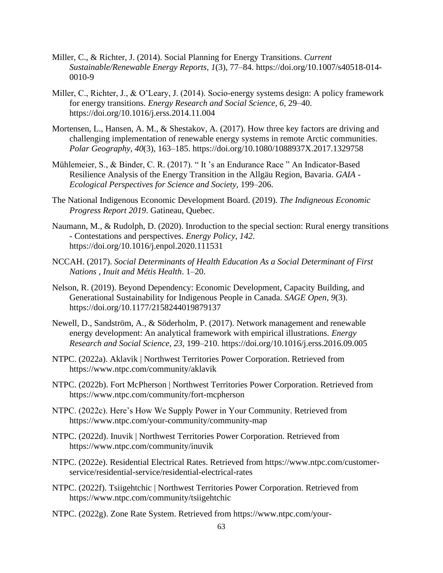- Miller, C., & Richter, J. (2014). Social Planning for Energy Transitions. *Current Sustainable/Renewable Energy Reports*, *1*(3), 77–84. https://doi.org/10.1007/s40518-014- 0010-9
- Miller, C., Richter, J., & O'Leary, J. (2014). Socio-energy systems design: A policy framework for energy transitions. *Energy Research and Social Science*, *6*, 29–40. https://doi.org/10.1016/j.erss.2014.11.004
- Mortensen, L., Hansen, A. M., & Shestakov, A. (2017). How three key factors are driving and challenging implementation of renewable energy systems in remote Arctic communities. *Polar Geography*, *40*(3), 163–185. https://doi.org/10.1080/1088937X.2017.1329758
- Mühlemeier, S., & Binder, C. R. (2017). " It 's an Endurance Race " An Indicator-Based Resilience Analysis of the Energy Transition in the Allgäu Region, Bavaria. *GAIA - Ecological Perspectives for Science and Society*, 199–206.
- The National Indigenous Economic Development Board. (2019). *The Indigneous Economic Progress Report 2019*. Gatineau, Quebec.
- Naumann, M., & Rudolph, D. (2020). Inroduction to the special section: Rural energy transitions - Contestations and perspectives. *Energy Policy*, *142*. https://doi.org/10.1016/j.enpol.2020.111531
- NCCAH. (2017). *Social Determinants of Health Education As a Social Determinant of First Nations , Inuit and Métis Health*. 1–20.
- Nelson, R. (2019). Beyond Dependency: Economic Development, Capacity Building, and Generational Sustainability for Indigenous People in Canada. *SAGE Open*, *9*(3). https://doi.org/10.1177/2158244019879137
- Newell, D., Sandström, A., & Söderholm, P. (2017). Network management and renewable energy development: An analytical framework with empirical illustrations. *Energy Research and Social Science*, *23*, 199–210. https://doi.org/10.1016/j.erss.2016.09.005
- NTPC. (2022a). Aklavik | Northwest Territories Power Corporation. Retrieved from https://www.ntpc.com/community/aklavik
- NTPC. (2022b). Fort McPherson | Northwest Territories Power Corporation. Retrieved from https://www.ntpc.com/community/fort-mcpherson
- NTPC. (2022c). Here's How We Supply Power in Your Community. Retrieved from https://www.ntpc.com/your-community/community-map
- NTPC. (2022d). Inuvik | Northwest Territories Power Corporation. Retrieved from https://www.ntpc.com/community/inuvik
- NTPC. (2022e). Residential Electrical Rates. Retrieved from https://www.ntpc.com/customerservice/residential-service/residential-electrical-rates
- NTPC. (2022f). Tsiigehtchic | Northwest Territories Power Corporation. Retrieved from https://www.ntpc.com/community/tsiigehtchic
- NTPC. (2022g). Zone Rate System. Retrieved from https://www.ntpc.com/your-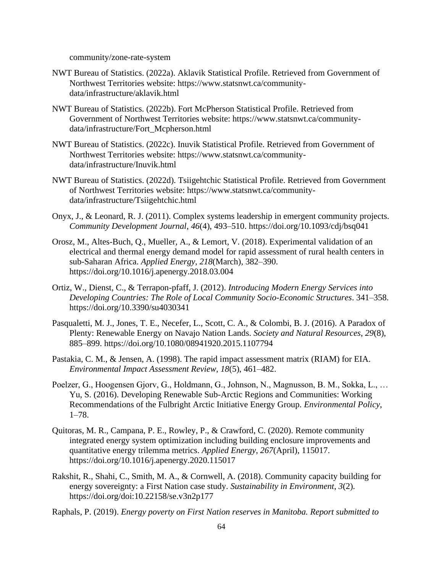community/zone-rate-system

- NWT Bureau of Statistics. (2022a). Aklavik Statistical Profile. Retrieved from Government of Northwest Territories website: https://www.statsnwt.ca/communitydata/infrastructure/aklavik.html
- NWT Bureau of Statistics. (2022b). Fort McPherson Statistical Profile. Retrieved from Government of Northwest Territories website: https://www.statsnwt.ca/communitydata/infrastructure/Fort\_Mcpherson.html
- NWT Bureau of Statistics. (2022c). Inuvik Statistical Profile. Retrieved from Government of Northwest Territories website: https://www.statsnwt.ca/communitydata/infrastructure/Inuvik.html
- NWT Bureau of Statistics. (2022d). Tsiigehtchic Statistical Profile. Retrieved from Government of Northwest Territories website: https://www.statsnwt.ca/communitydata/infrastructure/Tsiigehtchic.html
- Onyx, J., & Leonard, R. J. (2011). Complex systems leadership in emergent community projects. *Community Development Journal*, *46*(4), 493–510. https://doi.org/10.1093/cdj/bsq041
- Orosz, M., Altes-Buch, Q., Mueller, A., & Lemort, V. (2018). Experimental validation of an electrical and thermal energy demand model for rapid assessment of rural health centers in sub-Saharan Africa. *Applied Energy*, *218*(March), 382–390. https://doi.org/10.1016/j.apenergy.2018.03.004
- Ortiz, W., Dienst, C., & Terrapon-pfaff, J. (2012). *Introducing Modern Energy Services into Developing Countries: The Role of Local Community Socio-Economic Structures*. 341–358. https://doi.org/10.3390/su4030341
- Pasqualetti, M. J., Jones, T. E., Necefer, L., Scott, C. A., & Colombi, B. J. (2016). A Paradox of Plenty: Renewable Energy on Navajo Nation Lands. *Society and Natural Resources*, *29*(8), 885–899. https://doi.org/10.1080/08941920.2015.1107794
- Pastakia, C. M., & Jensen, A. (1998). The rapid impact assessment matrix (RIAM) for EIA. *Environmental Impact Assessment Review*, *18*(5), 461–482.
- Poelzer, G., Hoogensen Gjorv, G., Holdmann, G., Johnson, N., Magnusson, B. M., Sokka, L., … Yu, S. (2016). Developing Renewable Sub-Arctic Regions and Communities: Working Recommendations of the Fulbright Arctic Initiative Energy Group. *Environmental Policy*, 1–78.
- Quitoras, M. R., Campana, P. E., Rowley, P., & Crawford, C. (2020). Remote community integrated energy system optimization including building enclosure improvements and quantitative energy trilemma metrics. *Applied Energy*, *267*(April), 115017. https://doi.org/10.1016/j.apenergy.2020.115017
- Rakshit, R., Shahi, C., Smith, M. A., & Cornwell, A. (2018). Community capacity building for energy sovereignty: a First Nation case study. *Sustainability in Environment*, *3*(2). https://doi.org/doi:10.22158/se.v3n2p177
- Raphals, P. (2019). *Energy poverty on First Nation reserves in Manitoba. Report submitted to*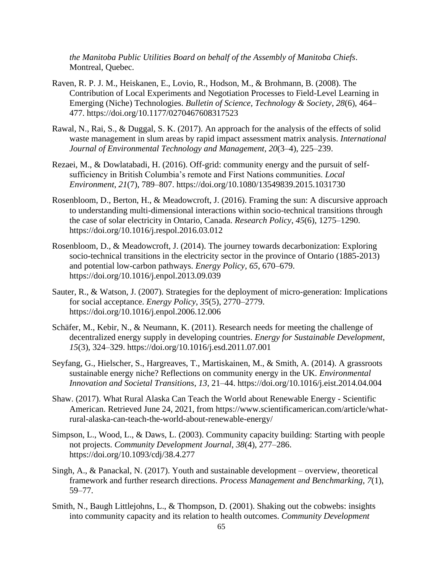*the Manitoba Public Utilities Board on behalf of the Assembly of Manitoba Chiefs*. Montreal, Quebec.

- Raven, R. P. J. M., Heiskanen, E., Lovio, R., Hodson, M., & Brohmann, B. (2008). The Contribution of Local Experiments and Negotiation Processes to Field-Level Learning in Emerging (Niche) Technologies. *Bulletin of Science, Technology & Society*, *28*(6), 464– 477. https://doi.org/10.1177/0270467608317523
- Rawal, N., Rai, S., & Duggal, S. K. (2017). An approach for the analysis of the effects of solid waste management in slum areas by rapid impact assessment matrix analysis. *International Journal of Environmental Technology and Management*, *20*(3–4), 225–239.
- Rezaei, M., & Dowlatabadi, H. (2016). Off-grid: community energy and the pursuit of selfsufficiency in British Columbia's remote and First Nations communities. *Local Environment*, *21*(7), 789–807. https://doi.org/10.1080/13549839.2015.1031730
- Rosenbloom, D., Berton, H., & Meadowcroft, J. (2016). Framing the sun: A discursive approach to understanding multi-dimensional interactions within socio-technical transitions through the case of solar electricity in Ontario, Canada. *Research Policy*, *45*(6), 1275–1290. https://doi.org/10.1016/j.respol.2016.03.012
- Rosenbloom, D., & Meadowcroft, J. (2014). The journey towards decarbonization: Exploring socio-technical transitions in the electricity sector in the province of Ontario (1885-2013) and potential low-carbon pathways. *Energy Policy*, *65*, 670–679. https://doi.org/10.1016/j.enpol.2013.09.039
- Sauter, R., & Watson, J. (2007). Strategies for the deployment of micro-generation: Implications for social acceptance. *Energy Policy*, *35*(5), 2770–2779. https://doi.org/10.1016/j.enpol.2006.12.006
- Schäfer, M., Kebir, N., & Neumann, K. (2011). Research needs for meeting the challenge of decentralized energy supply in developing countries. *Energy for Sustainable Development*, *15*(3), 324–329. https://doi.org/10.1016/j.esd.2011.07.001
- Seyfang, G., Hielscher, S., Hargreaves, T., Martiskainen, M., & Smith, A. (2014). A grassroots sustainable energy niche? Reflections on community energy in the UK. *Environmental Innovation and Societal Transitions*, *13*, 21–44. https://doi.org/10.1016/j.eist.2014.04.004
- Shaw. (2017). What Rural Alaska Can Teach the World about Renewable Energy Scientific American. Retrieved June 24, 2021, from https://www.scientificamerican.com/article/whatrural-alaska-can-teach-the-world-about-renewable-energy/
- Simpson, L., Wood, L., & Daws, L. (2003). Community capacity building: Starting with people not projects. *Community Development Journal*, *38*(4), 277–286. https://doi.org/10.1093/cdj/38.4.277
- Singh, A., & Panackal, N. (2017). Youth and sustainable development overview, theoretical framework and further research directions. *Process Management and Benchmarking*, *7*(1), 59–77.
- Smith, N., Baugh Littlejohns, L., & Thompson, D. (2001). Shaking out the cobwebs: insights into community capacity and its relation to health outcomes. *Community Development*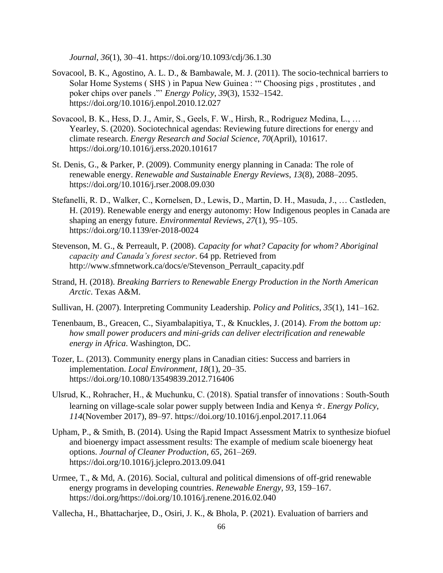*Journal*, *36*(1), 30–41. https://doi.org/10.1093/cdj/36.1.30

- Sovacool, B. K., Agostino, A. L. D., & Bambawale, M. J. (2011). The socio-technical barriers to Solar Home Systems ( SHS ) in Papua New Guinea : '" Choosing pigs , prostitutes , and poker chips over panels ."' *Energy Policy*, *39*(3), 1532–1542. https://doi.org/10.1016/j.enpol.2010.12.027
- Sovacool, B. K., Hess, D. J., Amir, S., Geels, F. W., Hirsh, R., Rodriguez Medina, L., … Yearley, S. (2020). Sociotechnical agendas: Reviewing future directions for energy and climate research. *Energy Research and Social Science*, *70*(April), 101617. https://doi.org/10.1016/j.erss.2020.101617
- St. Denis, G., & Parker, P. (2009). Community energy planning in Canada: The role of renewable energy. *Renewable and Sustainable Energy Reviews*, *13*(8), 2088–2095. https://doi.org/10.1016/j.rser.2008.09.030
- Stefanelli, R. D., Walker, C., Kornelsen, D., Lewis, D., Martin, D. H., Masuda, J., … Castleden, H. (2019). Renewable energy and energy autonomy: How Indigenous peoples in Canada are shaping an energy future. *Environmental Reviews*, *27*(1), 95–105. https://doi.org/10.1139/er-2018-0024
- Stevenson, M. G., & Perreault, P. (2008). *Capacity for what? Capacity for whom? Aboriginal capacity and Canada's forest sector*. 64 pp. Retrieved from http://www.sfmnetwork.ca/docs/e/Stevenson\_Perrault\_capacity.pdf
- Strand, H. (2018). *Breaking Barriers to Renewable Energy Production in the North American Arctic*. Texas A&M.
- Sullivan, H. (2007). Interpreting Community Leadership. *Policy and Politics*, *35*(1), 141–162.
- Tenenbaum, B., Greacen, C., Siyambalapitiya, T., & Knuckles, J. (2014). *From the bottom up: how small power producers and mini-grids can deliver electrification and renewable energy in Africa*. Washington, DC.
- Tozer, L. (2013). Community energy plans in Canadian cities: Success and barriers in implementation. *Local Environment*, *18*(1), 20–35. https://doi.org/10.1080/13549839.2012.716406
- Ulsrud, K., Rohracher, H., & Muchunku, C. (2018). Spatial transfer of innovations : South-South learning on village-scale solar power supply between India and Kenya ☆. *Energy Policy*, *114*(November 2017), 89–97. https://doi.org/10.1016/j.enpol.2017.11.064
- Upham, P., & Smith, B. (2014). Using the Rapid Impact Assessment Matrix to synthesize biofuel and bioenergy impact assessment results: The example of medium scale bioenergy heat options. *Journal of Cleaner Production*, *65*, 261–269. https://doi.org/10.1016/j.jclepro.2013.09.041
- Urmee, T., & Md, A. (2016). Social, cultural and political dimensions of off-grid renewable energy programs in developing countries. *Renewable Energy*, *93*, 159–167. https://doi.org/https://doi.org/10.1016/j.renene.2016.02.040

Vallecha, H., Bhattacharjee, D., Osiri, J. K., & Bhola, P. (2021). Evaluation of barriers and